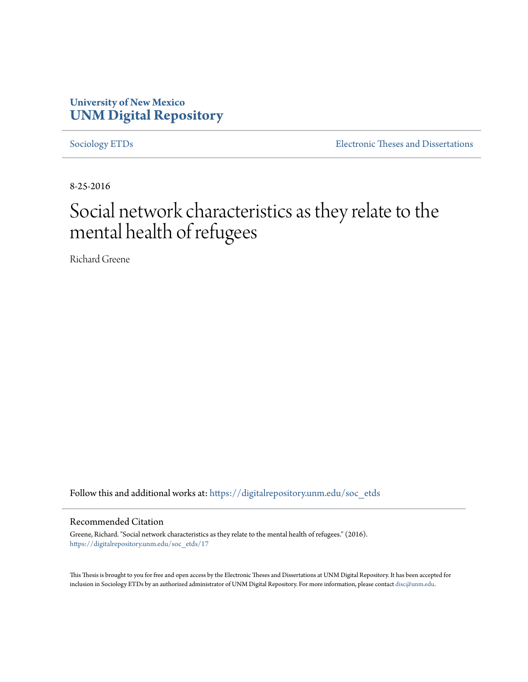# **University of New Mexico [UNM Digital Repository](https://digitalrepository.unm.edu?utm_source=digitalrepository.unm.edu%2Fsoc_etds%2F17&utm_medium=PDF&utm_campaign=PDFCoverPages)**

[Sociology ETDs](https://digitalrepository.unm.edu/soc_etds?utm_source=digitalrepository.unm.edu%2Fsoc_etds%2F17&utm_medium=PDF&utm_campaign=PDFCoverPages) [Electronic Theses and Dissertations](https://digitalrepository.unm.edu/etds?utm_source=digitalrepository.unm.edu%2Fsoc_etds%2F17&utm_medium=PDF&utm_campaign=PDFCoverPages)

8-25-2016

# Social network characteristics as they relate to the mental health of refugees

Richard Greene

Follow this and additional works at: [https://digitalrepository.unm.edu/soc\\_etds](https://digitalrepository.unm.edu/soc_etds?utm_source=digitalrepository.unm.edu%2Fsoc_etds%2F17&utm_medium=PDF&utm_campaign=PDFCoverPages)

#### Recommended Citation

Greene, Richard. "Social network characteristics as they relate to the mental health of refugees." (2016). [https://digitalrepository.unm.edu/soc\\_etds/17](https://digitalrepository.unm.edu/soc_etds/17?utm_source=digitalrepository.unm.edu%2Fsoc_etds%2F17&utm_medium=PDF&utm_campaign=PDFCoverPages)

This Thesis is brought to you for free and open access by the Electronic Theses and Dissertations at UNM Digital Repository. It has been accepted for inclusion in Sociology ETDs by an authorized administrator of UNM Digital Repository. For more information, please contact [disc@unm.edu.](mailto:disc@unm.edu)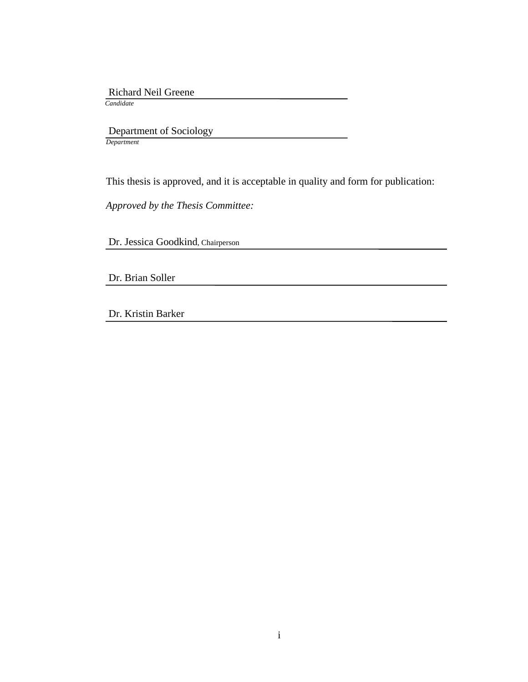Richard Neil Greene

*Candidate*

 Department of Sociology *Department*

This thesis is approved, and it is acceptable in quality and form for publication:

*Approved by the Thesis Committee:*

Dr. Jessica Goodkind, Chairperson

Dr. Brian Soller

Dr. Kristin Barker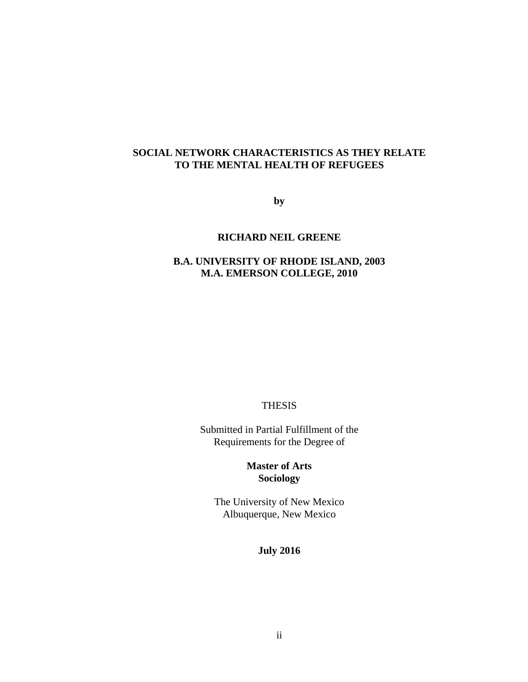### **SOCIAL NETWORK CHARACTERISTICS AS THEY RELATE TO THE MENTAL HEALTH OF REFUGEES**

**by**

#### **RICHARD NEIL GREENE**

## **B.A. UNIVERSITY OF RHODE ISLAND, 2003 M.A. EMERSON COLLEGE, 2010**

THESIS

Submitted in Partial Fulfillment of the Requirements for the Degree of

> **Master of Arts Sociology**

The University of New Mexico Albuquerque, New Mexico

**July 2016**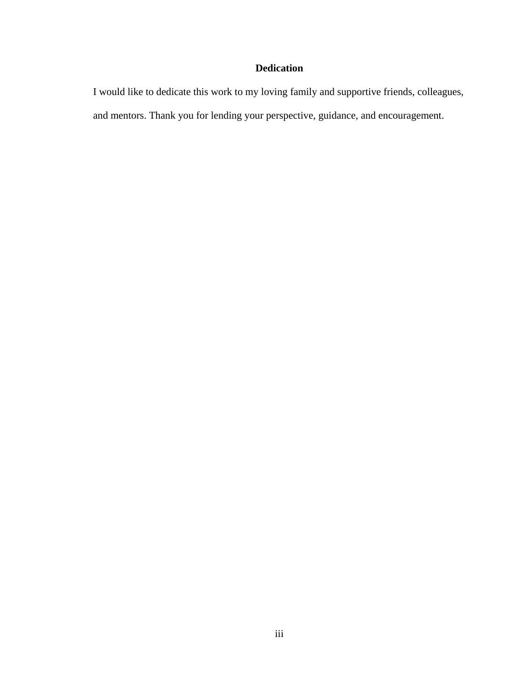## **Dedication**

I would like to dedicate this work to my loving family and supportive friends, colleagues, and mentors. Thank you for lending your perspective, guidance, and encouragement.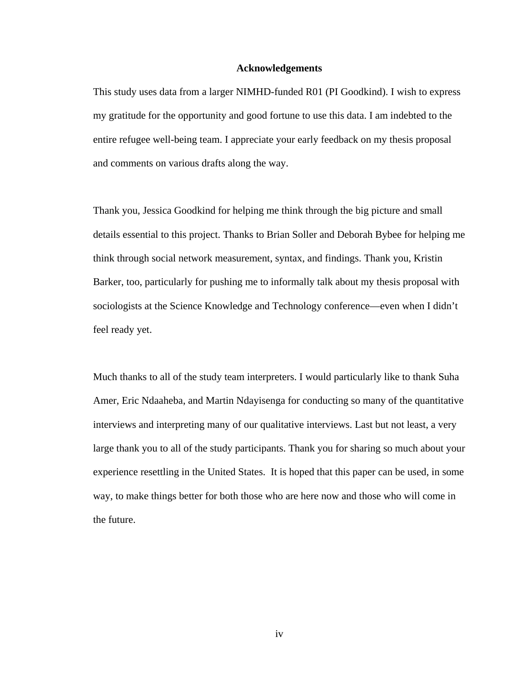#### **Acknowledgements**

This study uses data from a larger NIMHD-funded R01 (PI Goodkind). I wish to express my gratitude for the opportunity and good fortune to use this data. I am indebted to the entire refugee well-being team. I appreciate your early feedback on my thesis proposal and comments on various drafts along the way.

Thank you, Jessica Goodkind for helping me think through the big picture and small details essential to this project. Thanks to Brian Soller and Deborah Bybee for helping me think through social network measurement, syntax, and findings. Thank you, Kristin Barker, too, particularly for pushing me to informally talk about my thesis proposal with sociologists at the Science Knowledge and Technology conference—even when I didn't feel ready yet.

Much thanks to all of the study team interpreters. I would particularly like to thank Suha Amer, Eric Ndaaheba, and Martin Ndayisenga for conducting so many of the quantitative interviews and interpreting many of our qualitative interviews. Last but not least, a very large thank you to all of the study participants. Thank you for sharing so much about your experience resettling in the United States. It is hoped that this paper can be used, in some way, to make things better for both those who are here now and those who will come in the future.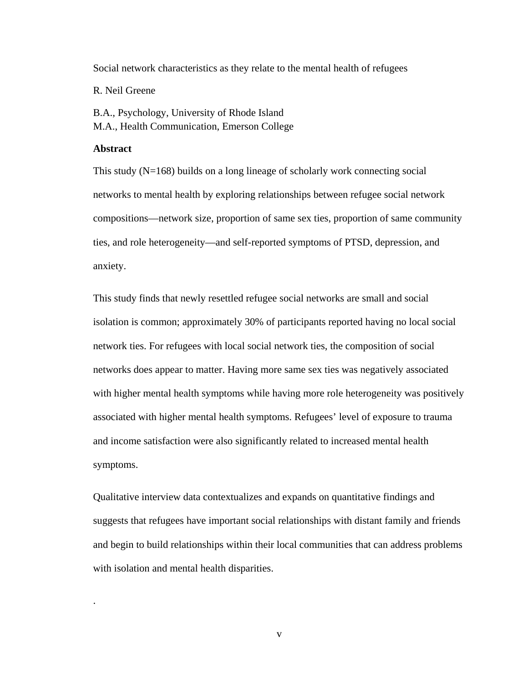Social network characteristics as they relate to the mental health of refugees

R. Neil Greene

B.A., Psychology, University of Rhode Island M.A., Health Communication, Emerson College

#### **Abstract**

.

This study (N=168) builds on a long lineage of scholarly work connecting social networks to mental health by exploring relationships between refugee social network compositions—network size, proportion of same sex ties, proportion of same community ties, and role heterogeneity—and self-reported symptoms of PTSD, depression, and anxiety.

This study finds that newly resettled refugee social networks are small and social isolation is common; approximately 30% of participants reported having no local social network ties. For refugees with local social network ties, the composition of social networks does appear to matter. Having more same sex ties was negatively associated with higher mental health symptoms while having more role heterogeneity was positively associated with higher mental health symptoms. Refugees' level of exposure to trauma and income satisfaction were also significantly related to increased mental health symptoms.

Qualitative interview data contextualizes and expands on quantitative findings and suggests that refugees have important social relationships with distant family and friends and begin to build relationships within their local communities that can address problems with isolation and mental health disparities.

v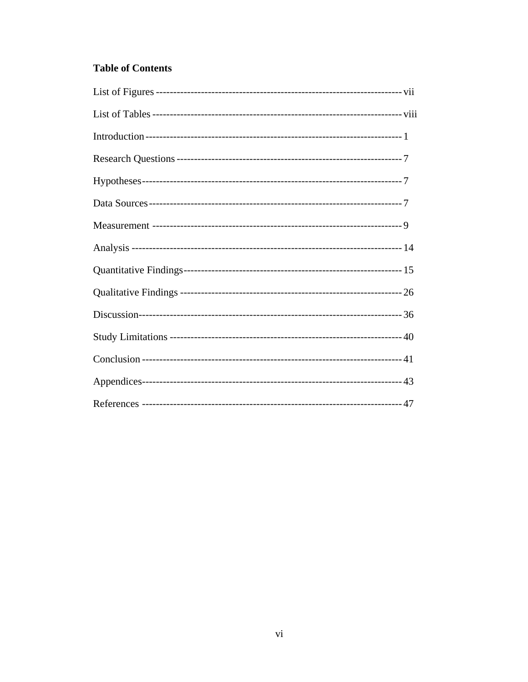# **Table of Contents**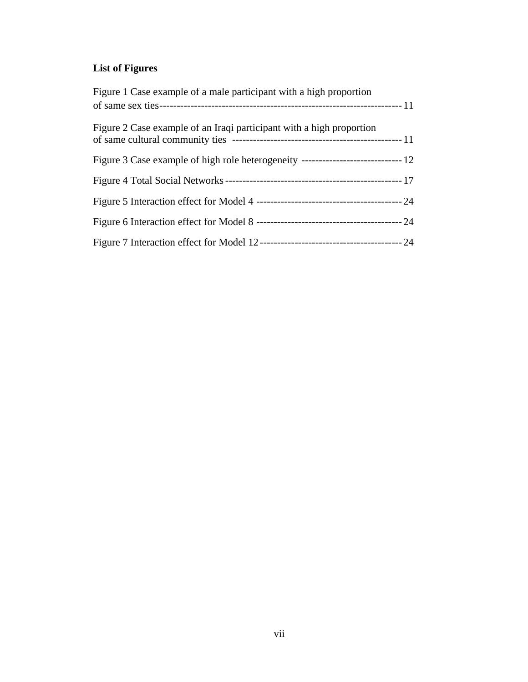# **List of Figures**

| Figure 1 Case example of a male participant with a high proportion   |  |
|----------------------------------------------------------------------|--|
| Figure 2 Case example of an Iraqi participant with a high proportion |  |
|                                                                      |  |
|                                                                      |  |
|                                                                      |  |
|                                                                      |  |
|                                                                      |  |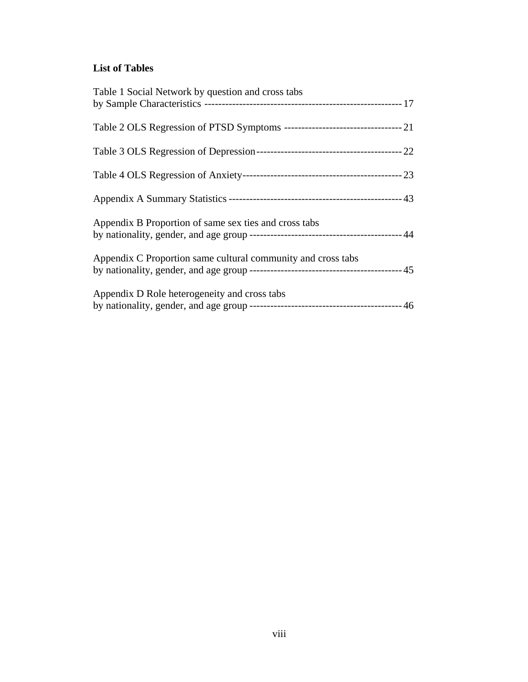## **List of Tables**

| Table 1 Social Network by question and cross tabs                              |  |
|--------------------------------------------------------------------------------|--|
| Table 2 OLS Regression of PTSD Symptoms ----------------------------------- 21 |  |
|                                                                                |  |
|                                                                                |  |
|                                                                                |  |
| Appendix B Proportion of same sex ties and cross tabs                          |  |
| Appendix C Proportion same cultural community and cross tabs                   |  |
| Appendix D Role heterogeneity and cross tabs                                   |  |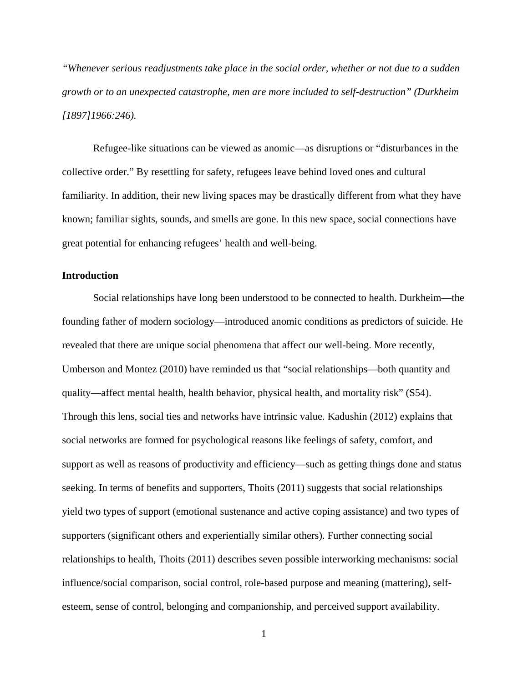*"Whenever serious readjustments take place in the social order, whether or not due to a sudden growth or to an unexpected catastrophe, men are more included to self-destruction" (Durkheim [1897]1966:246).*

Refugee-like situations can be viewed as anomic—as disruptions or "disturbances in the collective order." By resettling for safety, refugees leave behind loved ones and cultural familiarity. In addition, their new living spaces may be drastically different from what they have known; familiar sights, sounds, and smells are gone. In this new space, social connections have great potential for enhancing refugees' health and well-being.

#### **Introduction**

Social relationships have long been understood to be connected to health. Durkheim—the founding father of modern sociology—introduced anomic conditions as predictors of suicide. He revealed that there are unique social phenomena that affect our well-being. More recently, Umberson and Montez (2010) have reminded us that "social relationships—both quantity and quality—affect mental health, health behavior, physical health, and mortality risk" (S54). Through this lens, social ties and networks have intrinsic value. Kadushin (2012) explains that social networks are formed for psychological reasons like feelings of safety, comfort, and support as well as reasons of productivity and efficiency—such as getting things done and status seeking. In terms of benefits and supporters, Thoits (2011) suggests that social relationships yield two types of support (emotional sustenance and active coping assistance) and two types of supporters (significant others and experientially similar others). Further connecting social relationships to health, Thoits (2011) describes seven possible interworking mechanisms: social influence/social comparison, social control, role-based purpose and meaning (mattering), selfesteem, sense of control, belonging and companionship, and perceived support availability.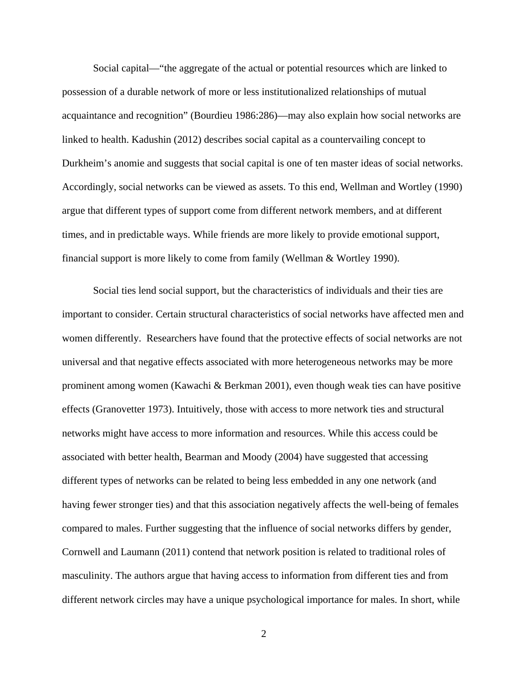Social capital—"the aggregate of the actual or potential resources which are linked to possession of a durable network of more or less institutionalized relationships of mutual acquaintance and recognition" (Bourdieu 1986:286)—may also explain how social networks are linked to health. Kadushin (2012) describes social capital as a countervailing concept to Durkheim's anomie and suggests that social capital is one of ten master ideas of social networks. Accordingly, social networks can be viewed as assets. To this end, Wellman and Wortley (1990) argue that different types of support come from different network members, and at different times, and in predictable ways. While friends are more likely to provide emotional support, financial support is more likely to come from family (Wellman & Wortley 1990).

Social ties lend social support, but the characteristics of individuals and their ties are important to consider. Certain structural characteristics of social networks have affected men and women differently. Researchers have found that the protective effects of social networks are not universal and that negative effects associated with more heterogeneous networks may be more prominent among women (Kawachi & Berkman 2001), even though weak ties can have positive effects (Granovetter 1973). Intuitively, those with access to more network ties and structural networks might have access to more information and resources. While this access could be associated with better health, Bearman and Moody (2004) have suggested that accessing different types of networks can be related to being less embedded in any one network (and having fewer stronger ties) and that this association negatively affects the well-being of females compared to males. Further suggesting that the influence of social networks differs by gender, Cornwell and Laumann (2011) contend that network position is related to traditional roles of masculinity. The authors argue that having access to information from different ties and from different network circles may have a unique psychological importance for males. In short, while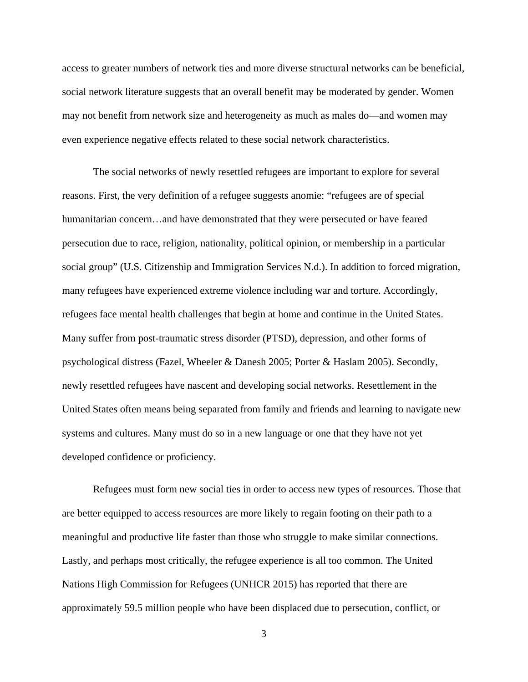access to greater numbers of network ties and more diverse structural networks can be beneficial, social network literature suggests that an overall benefit may be moderated by gender. Women may not benefit from network size and heterogeneity as much as males do—and women may even experience negative effects related to these social network characteristics.

The social networks of newly resettled refugees are important to explore for several reasons. First, the very definition of a refugee suggests anomie: "refugees are of special humanitarian concern…and have demonstrated that they were persecuted or have feared persecution due to race, religion, nationality, political opinion, or membership in a particular social group" (U.S. Citizenship and Immigration Services N.d.). In addition to forced migration, many refugees have experienced extreme violence including war and torture. Accordingly, refugees face mental health challenges that begin at home and continue in the United States. Many suffer from post-traumatic stress disorder (PTSD), depression, and other forms of psychological distress (Fazel, Wheeler & Danesh 2005; Porter & Haslam 2005). Secondly, newly resettled refugees have nascent and developing social networks. Resettlement in the United States often means being separated from family and friends and learning to navigate new systems and cultures. Many must do so in a new language or one that they have not yet developed confidence or proficiency.

Refugees must form new social ties in order to access new types of resources. Those that are better equipped to access resources are more likely to regain footing on their path to a meaningful and productive life faster than those who struggle to make similar connections. Lastly, and perhaps most critically, the refugee experience is all too common. The United Nations High Commission for Refugees (UNHCR 2015) has reported that there are approximately 59.5 million people who have been displaced due to persecution, conflict, or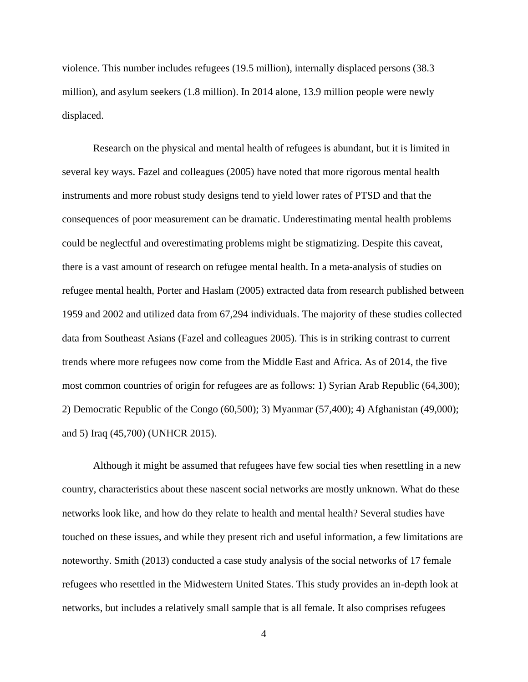violence. This number includes refugees (19.5 million), internally displaced persons (38.3 million), and asylum seekers (1.8 million). In 2014 alone, 13.9 million people were newly displaced.

Research on the physical and mental health of refugees is abundant, but it is limited in several key ways. Fazel and colleagues (2005) have noted that more rigorous mental health instruments and more robust study designs tend to yield lower rates of PTSD and that the consequences of poor measurement can be dramatic. Underestimating mental health problems could be neglectful and overestimating problems might be stigmatizing. Despite this caveat, there is a vast amount of research on refugee mental health. In a meta-analysis of studies on refugee mental health, Porter and Haslam (2005) extracted data from research published between 1959 and 2002 and utilized data from 67,294 individuals. The majority of these studies collected data from Southeast Asians (Fazel and colleagues 2005). This is in striking contrast to current trends where more refugees now come from the Middle East and Africa. As of 2014, the five most common countries of origin for refugees are as follows: 1) Syrian Arab Republic (64,300); 2) Democratic Republic of the Congo (60,500); 3) Myanmar (57,400); 4) Afghanistan (49,000); and 5) Iraq (45,700) (UNHCR 2015).

Although it might be assumed that refugees have few social ties when resettling in a new country, characteristics about these nascent social networks are mostly unknown. What do these networks look like, and how do they relate to health and mental health? Several studies have touched on these issues, and while they present rich and useful information, a few limitations are noteworthy. Smith (2013) conducted a case study analysis of the social networks of 17 female refugees who resettled in the Midwestern United States. This study provides an in-depth look at networks, but includes a relatively small sample that is all female. It also comprises refugees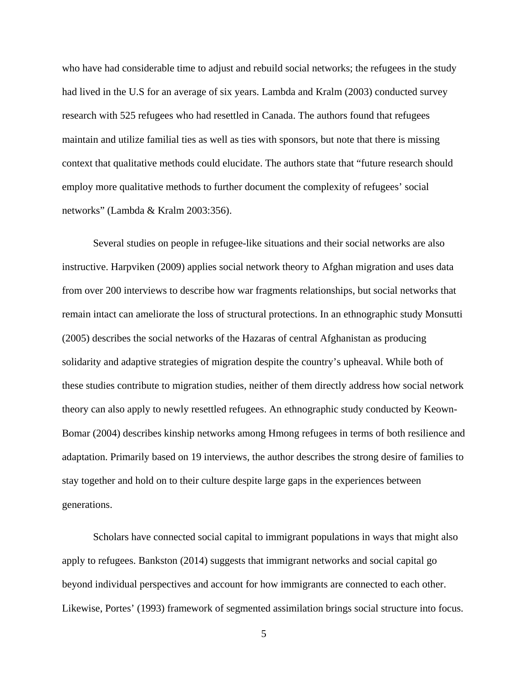who have had considerable time to adjust and rebuild social networks; the refugees in the study had lived in the U.S for an average of six years. Lambda and Kralm (2003) conducted survey research with 525 refugees who had resettled in Canada. The authors found that refugees maintain and utilize familial ties as well as ties with sponsors, but note that there is missing context that qualitative methods could elucidate. The authors state that "future research should employ more qualitative methods to further document the complexity of refugees' social networks" (Lambda & Kralm 2003:356).

Several studies on people in refugee-like situations and their social networks are also instructive. Harpviken (2009) applies social network theory to Afghan migration and uses data from over 200 interviews to describe how war fragments relationships, but social networks that remain intact can ameliorate the loss of structural protections. In an ethnographic study Monsutti (2005) describes the social networks of the Hazaras of central Afghanistan as producing solidarity and adaptive strategies of migration despite the country's upheaval. While both of these studies contribute to migration studies, neither of them directly address how social network theory can also apply to newly resettled refugees. An ethnographic study conducted by Keown-Bomar (2004) describes kinship networks among Hmong refugees in terms of both resilience and adaptation. Primarily based on 19 interviews, the author describes the strong desire of families to stay together and hold on to their culture despite large gaps in the experiences between generations.

Scholars have connected social capital to immigrant populations in ways that might also apply to refugees. Bankston (2014) suggests that immigrant networks and social capital go beyond individual perspectives and account for how immigrants are connected to each other. Likewise, Portes' (1993) framework of segmented assimilation brings social structure into focus.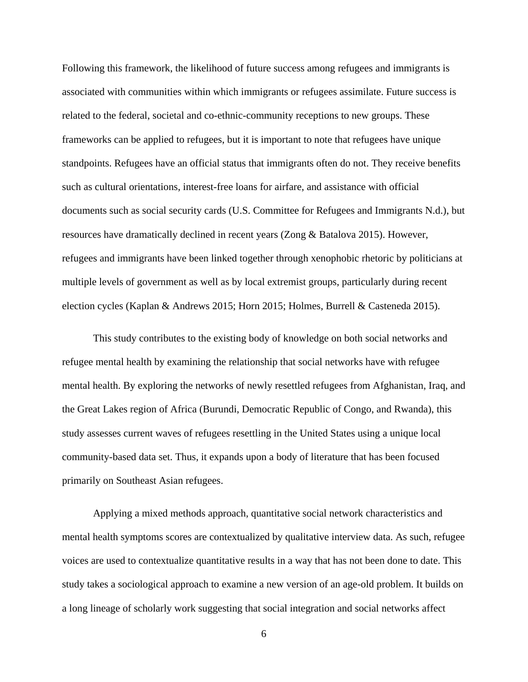Following this framework, the likelihood of future success among refugees and immigrants is associated with communities within which immigrants or refugees assimilate. Future success is related to the federal, societal and co-ethnic-community receptions to new groups. These frameworks can be applied to refugees, but it is important to note that refugees have unique standpoints. Refugees have an official status that immigrants often do not. They receive benefits such as cultural orientations, interest-free loans for airfare, and assistance with official documents such as social security cards (U.S. Committee for Refugees and Immigrants N.d.), but resources have dramatically declined in recent years (Zong & Batalova 2015). However, refugees and immigrants have been linked together through xenophobic rhetoric by politicians at multiple levels of government as well as by local extremist groups, particularly during recent election cycles (Kaplan & Andrews 2015; Horn 2015; Holmes, Burrell & Casteneda 2015).

This study contributes to the existing body of knowledge on both social networks and refugee mental health by examining the relationship that social networks have with refugee mental health. By exploring the networks of newly resettled refugees from Afghanistan, Iraq, and the Great Lakes region of Africa (Burundi, Democratic Republic of Congo, and Rwanda), this study assesses current waves of refugees resettling in the United States using a unique local community-based data set. Thus, it expands upon a body of literature that has been focused primarily on Southeast Asian refugees.

Applying a mixed methods approach, quantitative social network characteristics and mental health symptoms scores are contextualized by qualitative interview data. As such, refugee voices are used to contextualize quantitative results in a way that has not been done to date. This study takes a sociological approach to examine a new version of an age-old problem. It builds on a long lineage of scholarly work suggesting that social integration and social networks affect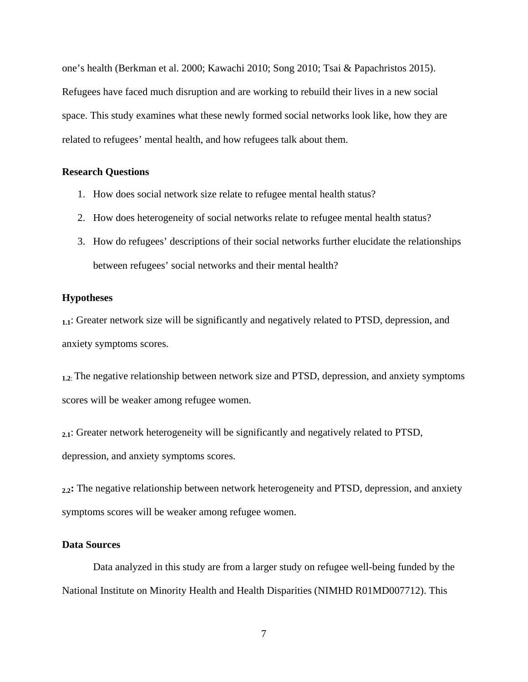one's health (Berkman et al. 2000; Kawachi 2010; Song 2010; Tsai & Papachristos 2015). Refugees have faced much disruption and are working to rebuild their lives in a new social space. This study examines what these newly formed social networks look like, how they are related to refugees' mental health, and how refugees talk about them.

#### **Research Questions**

- 1. How does social network size relate to refugee mental health status?
- 2. How does heterogeneity of social networks relate to refugee mental health status?
- 3. How do refugees' descriptions of their social networks further elucidate the relationships between refugees' social networks and their mental health?

#### **Hypotheses**

**1.1**: Greater network size will be significantly and negatively related to PTSD, depression, and anxiety symptoms scores.

**1.2**: The negative relationship between network size and PTSD, depression, and anxiety symptoms scores will be weaker among refugee women.

**2.1**: Greater network heterogeneity will be significantly and negatively related to PTSD, depression, and anxiety symptoms scores.

**2.2:** The negative relationship between network heterogeneity and PTSD, depression, and anxiety symptoms scores will be weaker among refugee women.

#### **Data Sources**

Data analyzed in this study are from a larger study on refugee well-being funded by the National Institute on Minority Health and Health Disparities (NIMHD R01MD007712). This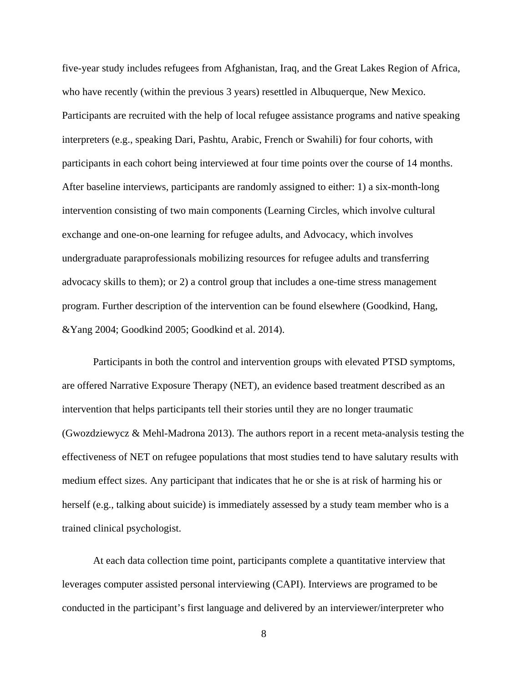five-year study includes refugees from Afghanistan, Iraq, and the Great Lakes Region of Africa, who have recently (within the previous 3 years) resettled in Albuquerque, New Mexico. Participants are recruited with the help of local refugee assistance programs and native speaking interpreters (e.g., speaking Dari, Pashtu, Arabic, French or Swahili) for four cohorts, with participants in each cohort being interviewed at four time points over the course of 14 months. After baseline interviews, participants are randomly assigned to either: 1) a six-month-long intervention consisting of two main components (Learning Circles, which involve cultural exchange and one-on-one learning for refugee adults, and Advocacy, which involves undergraduate paraprofessionals mobilizing resources for refugee adults and transferring advocacy skills to them); or 2) a control group that includes a one-time stress management program. Further description of the intervention can be found elsewhere (Goodkind, Hang, &Yang 2004; Goodkind 2005; Goodkind et al. 2014).

Participants in both the control and intervention groups with elevated PTSD symptoms, are offered Narrative Exposure Therapy (NET), an evidence based treatment described as an intervention that helps participants tell their stories until they are no longer traumatic (Gwozdziewycz & Mehl-Madrona 2013). The authors report in a recent meta-analysis testing the effectiveness of NET on refugee populations that most studies tend to have salutary results with medium effect sizes. Any participant that indicates that he or she is at risk of harming his or herself (e.g., talking about suicide) is immediately assessed by a study team member who is a trained clinical psychologist.

At each data collection time point, participants complete a quantitative interview that leverages computer assisted personal interviewing (CAPI). Interviews are programed to be conducted in the participant's first language and delivered by an interviewer/interpreter who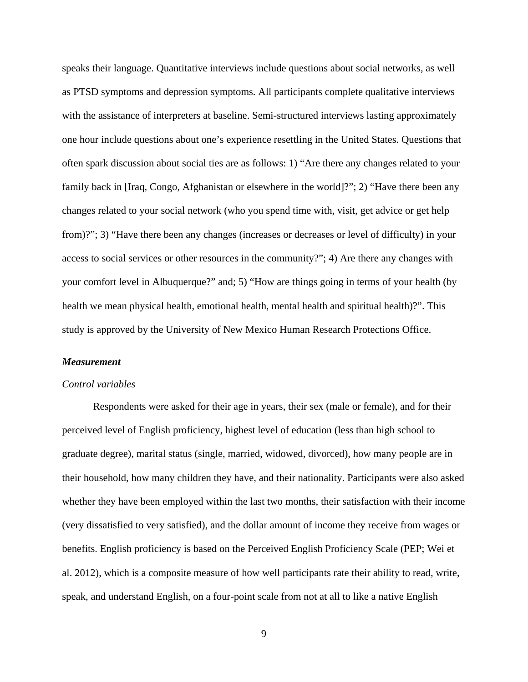speaks their language. Quantitative interviews include questions about social networks, as well as PTSD symptoms and depression symptoms. All participants complete qualitative interviews with the assistance of interpreters at baseline. Semi-structured interviews lasting approximately one hour include questions about one's experience resettling in the United States. Questions that often spark discussion about social ties are as follows: 1) "Are there any changes related to your family back in [Iraq, Congo, Afghanistan or elsewhere in the world]?"; 2) "Have there been any changes related to your social network (who you spend time with, visit, get advice or get help from)?"; 3) "Have there been any changes (increases or decreases or level of difficulty) in your access to social services or other resources in the community?"; 4) Are there any changes with your comfort level in Albuquerque?" and; 5) "How are things going in terms of your health (by health we mean physical health, emotional health, mental health and spiritual health)?". This study is approved by the University of New Mexico Human Research Protections Office.

#### *Measurement*

#### *Control variables*

Respondents were asked for their age in years, their sex (male or female), and for their perceived level of English proficiency, highest level of education (less than high school to graduate degree), marital status (single, married, widowed, divorced), how many people are in their household, how many children they have, and their nationality. Participants were also asked whether they have been employed within the last two months, their satisfaction with their income (very dissatisfied to very satisfied), and the dollar amount of income they receive from wages or benefits. English proficiency is based on the Perceived English Proficiency Scale (PEP; Wei et al. 2012), which is a composite measure of how well participants rate their ability to read, write, speak, and understand English, on a four-point scale from not at all to like a native English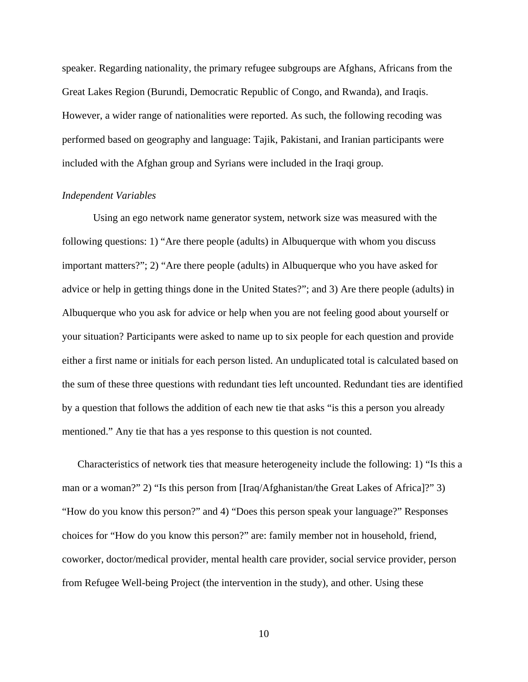speaker. Regarding nationality, the primary refugee subgroups are Afghans, Africans from the Great Lakes Region (Burundi, Democratic Republic of Congo, and Rwanda), and Iraqis. However, a wider range of nationalities were reported. As such, the following recoding was performed based on geography and language: Tajik, Pakistani, and Iranian participants were included with the Afghan group and Syrians were included in the Iraqi group.

#### *Independent Variables*

Using an ego network name generator system, network size was measured with the following questions: 1) "Are there people (adults) in Albuquerque with whom you discuss important matters?"; 2) "Are there people (adults) in Albuquerque who you have asked for advice or help in getting things done in the United States?"; and 3) Are there people (adults) in Albuquerque who you ask for advice or help when you are not feeling good about yourself or your situation? Participants were asked to name up to six people for each question and provide either a first name or initials for each person listed. An unduplicated total is calculated based on the sum of these three questions with redundant ties left uncounted. Redundant ties are identified by a question that follows the addition of each new tie that asks "is this a person you already mentioned." Any tie that has a yes response to this question is not counted.

Characteristics of network ties that measure heterogeneity include the following: 1) "Is this a man or a woman?" 2) "Is this person from [Iraq/Afghanistan/the Great Lakes of Africa]?" 3) "How do you know this person?" and 4) "Does this person speak your language?" Responses choices for "How do you know this person?" are: family member not in household, friend, coworker, doctor/medical provider, mental health care provider, social service provider, person from Refugee Well-being Project (the intervention in the study), and other. Using these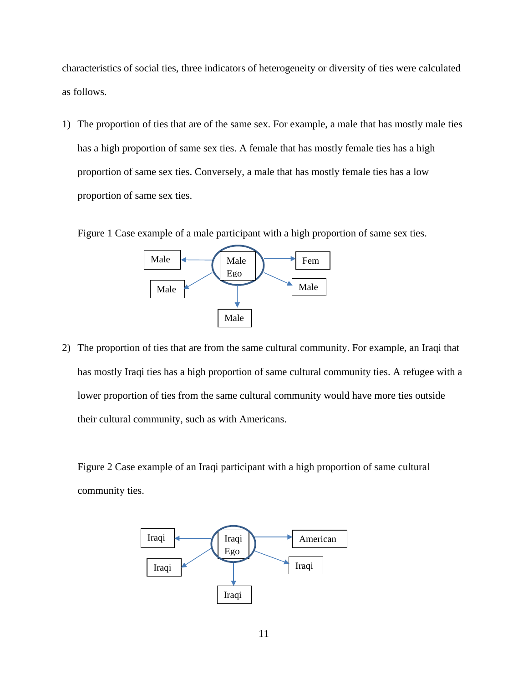characteristics of social ties, three indicators of heterogeneity or diversity of ties were calculated as follows.

1) The proportion of ties that are of the same sex. For example, a male that has mostly male ties has a high proportion of same sex ties. A female that has mostly female ties has a high proportion of same sex ties. Conversely, a male that has mostly female ties has a low proportion of same sex ties.

Figure 1 Case example of a male participant with a high proportion of same sex ties.



2) The proportion of ties that are from the same cultural community. For example, an Iraqi that has mostly Iraqi ties has a high proportion of same cultural community ties. A refugee with a lower proportion of ties from the same cultural community would have more ties outside their cultural community, such as with Americans.

Figure 2 Case example of an Iraqi participant with a high proportion of same cultural community ties.

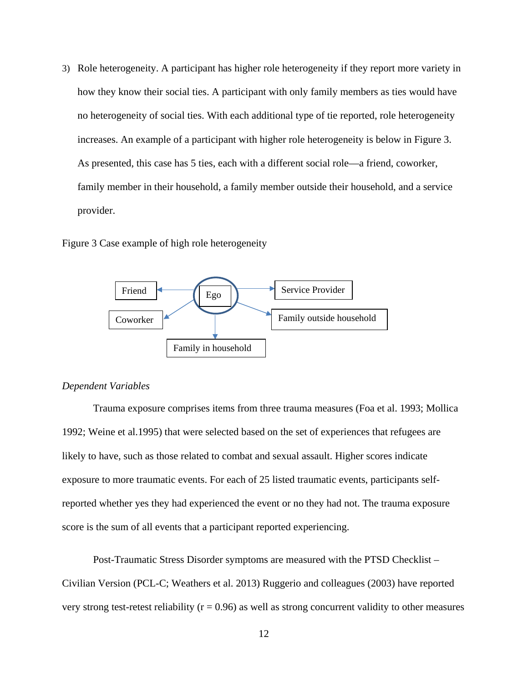3) Role heterogeneity. A participant has higher role heterogeneity if they report more variety in how they know their social ties. A participant with only family members as ties would have no heterogeneity of social ties. With each additional type of tie reported, role heterogeneity increases. An example of a participant with higher role heterogeneity is below in Figure 3. As presented, this case has 5 ties, each with a different social role—a friend, coworker, family member in their household, a family member outside their household, and a service provider.

Figure 3 Case example of high role heterogeneity



#### *Dependent Variables*

Trauma exposure comprises items from three trauma measures (Foa et al. 1993; Mollica 1992; Weine et al.1995) that were selected based on the set of experiences that refugees are likely to have, such as those related to combat and sexual assault. Higher scores indicate exposure to more traumatic events. For each of 25 listed traumatic events, participants selfreported whether yes they had experienced the event or no they had not. The trauma exposure score is the sum of all events that a participant reported experiencing.

Post-Traumatic Stress Disorder symptoms are measured with the PTSD Checklist – Civilian Version (PCL-C; Weathers et al. 2013) Ruggerio and colleagues (2003) have reported very strong test-retest reliability ( $r = 0.96$ ) as well as strong concurrent validity to other measures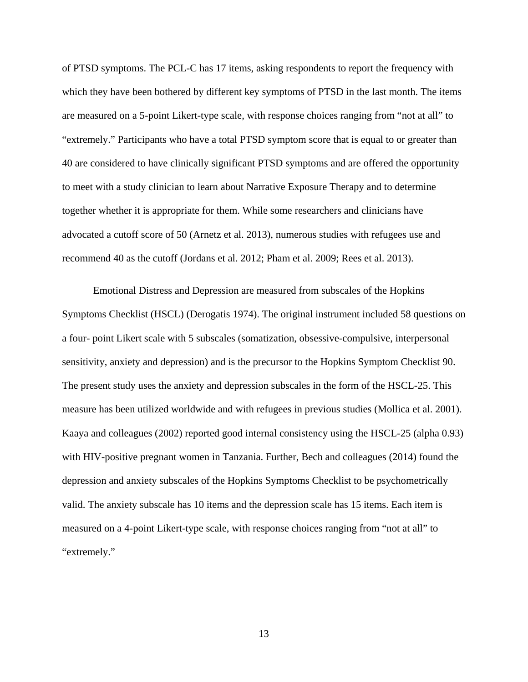of PTSD symptoms. The PCL-C has 17 items, asking respondents to report the frequency with which they have been bothered by different key symptoms of PTSD in the last month. The items are measured on a 5-point Likert-type scale, with response choices ranging from "not at all" to "extremely." Participants who have a total PTSD symptom score that is equal to or greater than 40 are considered to have clinically significant PTSD symptoms and are offered the opportunity to meet with a study clinician to learn about Narrative Exposure Therapy and to determine together whether it is appropriate for them. While some researchers and clinicians have advocated a cutoff score of 50 (Arnetz et al. 2013), numerous studies with refugees use and recommend 40 as the cutoff (Jordans et al. 2012; Pham et al. 2009; Rees et al. 2013).

Emotional Distress and Depression are measured from subscales of the Hopkins Symptoms Checklist (HSCL) (Derogatis 1974). The original instrument included 58 questions on a four- point Likert scale with 5 subscales (somatization, obsessive-compulsive, interpersonal sensitivity, anxiety and depression) and is the precursor to the Hopkins Symptom Checklist 90. The present study uses the anxiety and depression subscales in the form of the HSCL-25. This measure has been utilized worldwide and with refugees in previous studies (Mollica et al. 2001). Kaaya and colleagues (2002) reported good internal consistency using the HSCL-25 (alpha 0.93) with HIV-positive pregnant women in Tanzania. Further, Bech and colleagues (2014) found the depression and anxiety subscales of the Hopkins Symptoms Checklist to be psychometrically valid. The anxiety subscale has 10 items and the depression scale has 15 items. Each item is measured on a 4-point Likert-type scale, with response choices ranging from "not at all" to "extremely."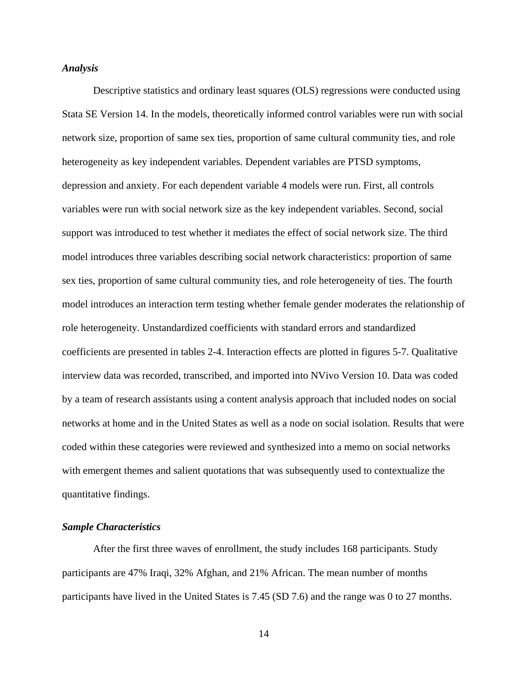#### *Analysis*

Descriptive statistics and ordinary least squares (OLS) regressions were conducted using Stata SE Version 14. In the models, theoretically informed control variables were run with social network size, proportion of same sex ties, proportion of same cultural community ties, and role heterogeneity as key independent variables. Dependent variables are PTSD symptoms, depression and anxiety. For each dependent variable 4 models were run. First, all controls variables were run with social network size as the key independent variables. Second, social support was introduced to test whether it mediates the effect of social network size. The third model introduces three variables describing social network characteristics: proportion of same sex ties, proportion of same cultural community ties, and role heterogeneity of ties. The fourth model introduces an interaction term testing whether female gender moderates the relationship of role heterogeneity. Unstandardized coefficients with standard errors and standardized coefficients are presented in tables 2-4. Interaction effects are plotted in figures 5-7. Qualitative interview data was recorded, transcribed, and imported into NVivo Version 10. Data was coded by a team of research assistants using a content analysis approach that included nodes on social networks at home and in the United States as well as a node on social isolation. Results that were coded within these categories were reviewed and synthesized into a memo on social networks with emergent themes and salient quotations that was subsequently used to contextualize the quantitative findings.

#### *Sample Characteristics*

After the first three waves of enrollment, the study includes 168 participants. Study participants are 47% Iraqi, 32% Afghan, and 21% African. The mean number of months participants have lived in the United States is 7.45 (SD 7.6) and the range was 0 to 27 months.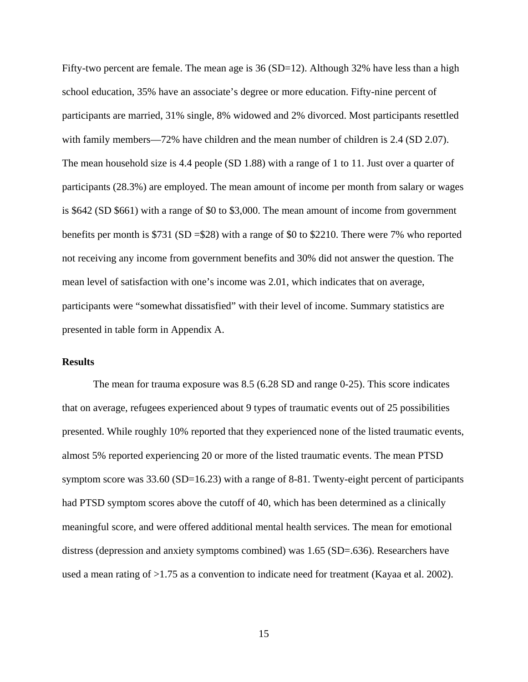Fifty-two percent are female. The mean age is  $36(SD=12)$ . Although  $32\%$  have less than a high school education, 35% have an associate's degree or more education. Fifty-nine percent of participants are married, 31% single, 8% widowed and 2% divorced. Most participants resettled with family members—72% have children and the mean number of children is 2.4 (SD 2.07). The mean household size is 4.4 people (SD 1.88) with a range of 1 to 11. Just over a quarter of participants (28.3%) are employed. The mean amount of income per month from salary or wages is \$642 (SD \$661) with a range of \$0 to \$3,000. The mean amount of income from government benefits per month is \$731 (SD =\$28) with a range of \$0 to \$2210. There were 7% who reported not receiving any income from government benefits and 30% did not answer the question. The mean level of satisfaction with one's income was 2.01, which indicates that on average, participants were "somewhat dissatisfied" with their level of income. Summary statistics are presented in table form in Appendix A.

#### **Results**

The mean for trauma exposure was 8.5 (6.28 SD and range 0-25). This score indicates that on average, refugees experienced about 9 types of traumatic events out of 25 possibilities presented. While roughly 10% reported that they experienced none of the listed traumatic events, almost 5% reported experiencing 20 or more of the listed traumatic events. The mean PTSD symptom score was 33.60 (SD=16.23) with a range of 8-81. Twenty-eight percent of participants had PTSD symptom scores above the cutoff of 40, which has been determined as a clinically meaningful score, and were offered additional mental health services. The mean for emotional distress (depression and anxiety symptoms combined) was 1.65 (SD=.636). Researchers have used a mean rating of >1.75 as a convention to indicate need for treatment (Kayaa et al. 2002).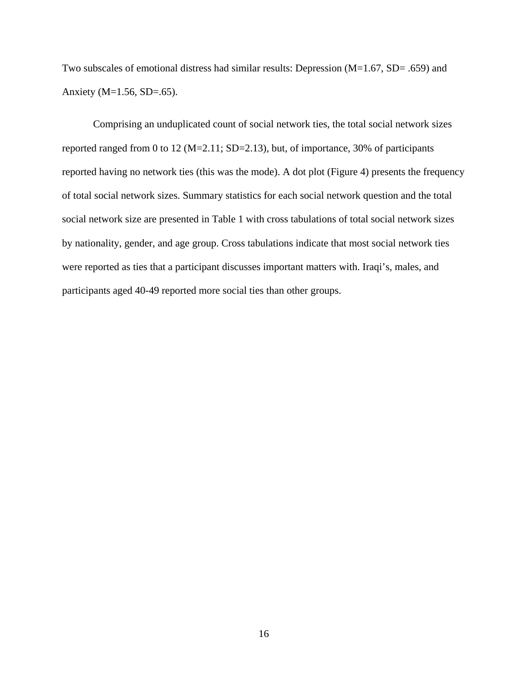Two subscales of emotional distress had similar results: Depression (M=1.67, SD= .659) and Anxiety (M=1.56, SD=.65).

Comprising an unduplicated count of social network ties, the total social network sizes reported ranged from 0 to 12 (M=2.11; SD=2.13), but, of importance, 30% of participants reported having no network ties (this was the mode). A dot plot (Figure 4) presents the frequency of total social network sizes. Summary statistics for each social network question and the total social network size are presented in Table 1 with cross tabulations of total social network sizes by nationality, gender, and age group. Cross tabulations indicate that most social network ties were reported as ties that a participant discusses important matters with. Iraqi's, males, and participants aged 40-49 reported more social ties than other groups.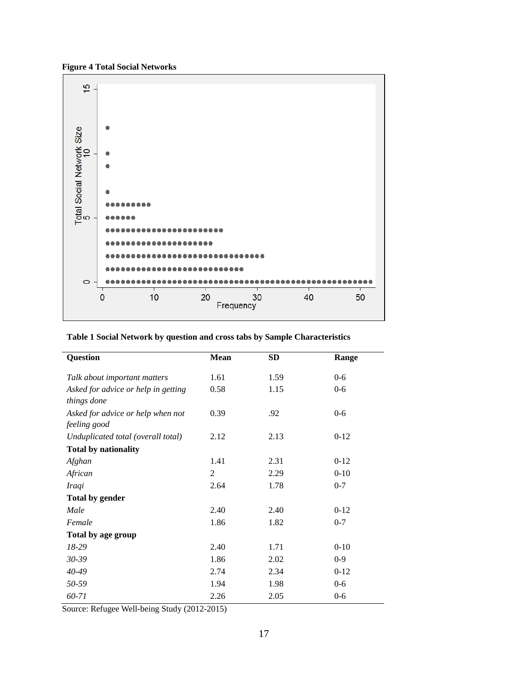**Figure 4 Total Social Networks**



| <b>Question</b>                                    | <b>Mean</b> | <b>SD</b> | Range    |
|----------------------------------------------------|-------------|-----------|----------|
| Talk about important matters                       | 1.61        | 1.59      | $0 - 6$  |
| Asked for advice or help in getting<br>things done | 0.58        | 1.15      | $0 - 6$  |
| Asked for advice or help when not<br>feeling good  | 0.39        | .92       | $0 - 6$  |
| Unduplicated total (overall total)                 | 2.12        | 2.13      | $0-12$   |
| <b>Total by nationality</b>                        |             |           |          |
| Afghan                                             | 1.41        | 2.31      | $0-12$   |
| African                                            | 2           | 2.29      | $0-10$   |
| <b>Iraqi</b>                                       | 2.64        | 1.78      | $0 - 7$  |
| <b>Total by gender</b>                             |             |           |          |
| Male                                               | 2.40        | 2.40      | $0-12$   |
| Female                                             | 1.86        | 1.82      | $0 - 7$  |
| Total by age group                                 |             |           |          |
| 18-29                                              | 2.40        | 1.71      | $0 - 10$ |
| $30 - 39$                                          | 1.86        | 2.02      | $0 - 9$  |
| $40 - 49$                                          | 2.74        | 2.34      | $0-12$   |
| 50-59                                              | 1.94        | 1.98      | $0 - 6$  |
| 60-71                                              | 2.26        | 2.05      | $0 - 6$  |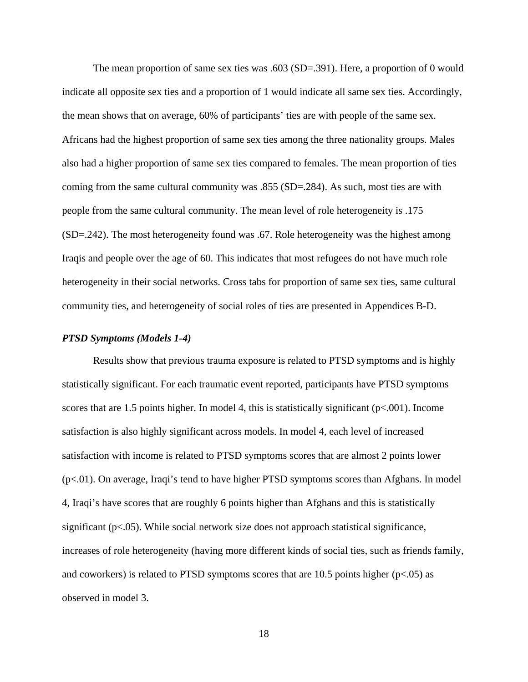The mean proportion of same sex ties was .603 (SD=.391). Here, a proportion of 0 would indicate all opposite sex ties and a proportion of 1 would indicate all same sex ties. Accordingly, the mean shows that on average, 60% of participants' ties are with people of the same sex. Africans had the highest proportion of same sex ties among the three nationality groups. Males also had a higher proportion of same sex ties compared to females. The mean proportion of ties coming from the same cultural community was .855 (SD=.284). As such, most ties are with people from the same cultural community. The mean level of role heterogeneity is .175 (SD=.242). The most heterogeneity found was .67. Role heterogeneity was the highest among Iraqis and people over the age of 60. This indicates that most refugees do not have much role heterogeneity in their social networks. Cross tabs for proportion of same sex ties, same cultural community ties, and heterogeneity of social roles of ties are presented in Appendices B-D.

#### *PTSD Symptoms (Models 1-4)*

Results show that previous trauma exposure is related to PTSD symptoms and is highly statistically significant. For each traumatic event reported, participants have PTSD symptoms scores that are 1.5 points higher. In model 4, this is statistically significant  $(p<0.01)$ . Income satisfaction is also highly significant across models. In model 4, each level of increased satisfaction with income is related to PTSD symptoms scores that are almost 2 points lower (p<.01). On average, Iraqi's tend to have higher PTSD symptoms scores than Afghans. In model 4, Iraqi's have scores that are roughly 6 points higher than Afghans and this is statistically significant ( $p<05$ ). While social network size does not approach statistical significance, increases of role heterogeneity (having more different kinds of social ties, such as friends family, and coworkers) is related to PTSD symptoms scores that are  $10.5$  points higher ( $p<0.05$ ) as observed in model 3.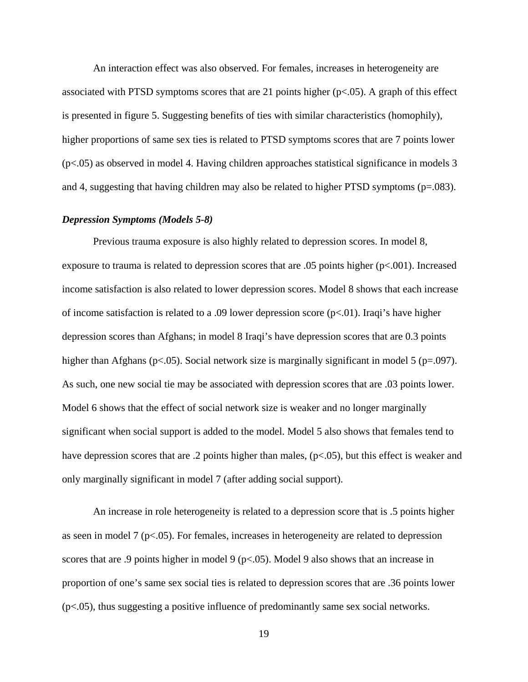An interaction effect was also observed. For females, increases in heterogeneity are associated with PTSD symptoms scores that are 21 points higher  $(p<0.05)$ . A graph of this effect is presented in figure 5. Suggesting benefits of ties with similar characteristics (homophily), higher proportions of same sex ties is related to PTSD symptoms scores that are 7 points lower (p<.05) as observed in model 4. Having children approaches statistical significance in models 3 and 4, suggesting that having children may also be related to higher PTSD symptoms ( $p=.083$ ).

#### *Depression Symptoms (Models 5-8)*

Previous trauma exposure is also highly related to depression scores. In model 8, exposure to trauma is related to depression scores that are .05 points higher (p<.001). Increased income satisfaction is also related to lower depression scores. Model 8 shows that each increase of income satisfaction is related to a .09 lower depression score  $(p<.01)$ . Iraqi's have higher depression scores than Afghans; in model 8 Iraqi's have depression scores that are 0.3 points higher than Afghans (p<.05). Social network size is marginally significant in model 5 (p=.097). As such, one new social tie may be associated with depression scores that are .03 points lower. Model 6 shows that the effect of social network size is weaker and no longer marginally significant when social support is added to the model. Model 5 also shows that females tend to have depression scores that are .2 points higher than males, ( $p<.05$ ), but this effect is weaker and only marginally significant in model 7 (after adding social support).

An increase in role heterogeneity is related to a depression score that is .5 points higher as seen in model  $7$  ( $p<.05$ ). For females, increases in heterogeneity are related to depression scores that are .9 points higher in model 9 ( $p<$ ,05). Model 9 also shows that an increase in proportion of one's same sex social ties is related to depression scores that are .36 points lower  $(p<0.05)$ , thus suggesting a positive influence of predominantly same sex social networks.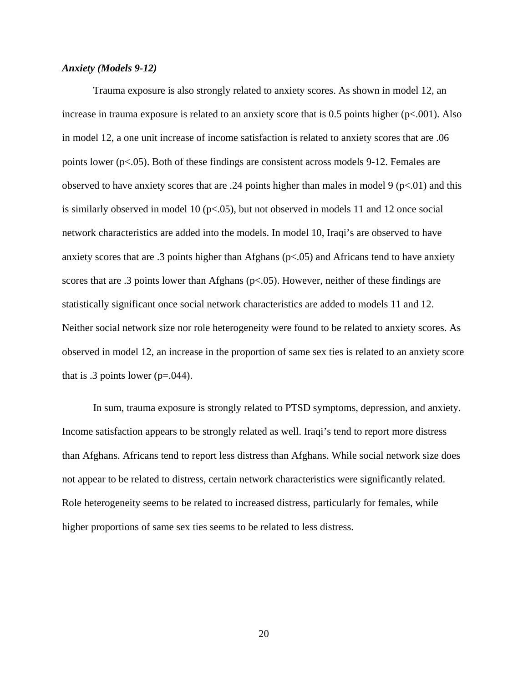#### *Anxiety (Models 9-12)*

Trauma exposure is also strongly related to anxiety scores. As shown in model 12, an increase in trauma exposure is related to an anxiety score that is 0.5 points higher (p<.001). Also in model 12, a one unit increase of income satisfaction is related to anxiety scores that are .06 points lower (p<.05). Both of these findings are consistent across models 9-12. Females are observed to have anxiety scores that are .24 points higher than males in model 9 ( $p<.01$ ) and this is similarly observed in model 10 (p<.05), but not observed in models 11 and 12 once social network characteristics are added into the models. In model 10, Iraqi's are observed to have anxiety scores that are .3 points higher than Afghans (p<.05) and Africans tend to have anxiety scores that are .3 points lower than Afghans ( $p<.05$ ). However, neither of these findings are statistically significant once social network characteristics are added to models 11 and 12. Neither social network size nor role heterogeneity were found to be related to anxiety scores. As observed in model 12, an increase in the proportion of same sex ties is related to an anxiety score that is .3 points lower ( $p=.044$ ).

In sum, trauma exposure is strongly related to PTSD symptoms, depression, and anxiety. Income satisfaction appears to be strongly related as well. Iraqi's tend to report more distress than Afghans. Africans tend to report less distress than Afghans. While social network size does not appear to be related to distress, certain network characteristics were significantly related. Role heterogeneity seems to be related to increased distress, particularly for females, while higher proportions of same sex ties seems to be related to less distress.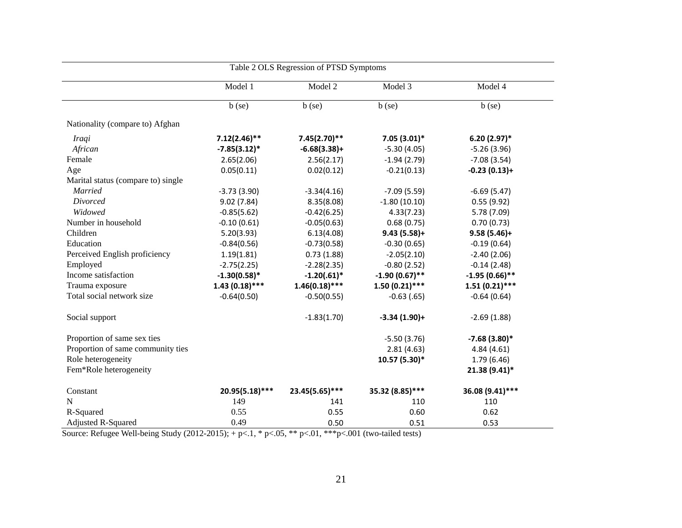| Table 2 OLS Regression of PTSD Symptoms |                  |                  |                  |                  |
|-----------------------------------------|------------------|------------------|------------------|------------------|
|                                         | Model 1          | Model 2          | Model 3          | Model 4          |
|                                         | $b$ (se)         | $b$ (se)         | $b$ (se)         | $b$ (se)         |
| Nationality (compare to) Afghan         |                  |                  |                  |                  |
| <i>Iraqi</i>                            | $7.12(2.46)$ **  | $7.45(2.70)$ **  | $7.05(3.01)*$    | $6.20(2.97)$ *   |
| African                                 | $-7.85(3.12)*$   | $-6.68(3.38)+$   | $-5.30(4.05)$    | $-5.26(3.96)$    |
| Female                                  | 2.65(2.06)       | 2.56(2.17)       | $-1.94(2.79)$    | $-7.08(3.54)$    |
| Age                                     | 0.05(0.11)       | 0.02(0.12)       | $-0.21(0.13)$    | $-0.23(0.13)+$   |
| Marital status (compare to) single      |                  |                  |                  |                  |
| <b>Married</b>                          | $-3.73(3.90)$    | $-3.34(4.16)$    | $-7.09(5.59)$    | $-6.69(5.47)$    |
| Divorced                                | 9.02(7.84)       | 8.35(8.08)       | $-1.80(10.10)$   | 0.55(9.92)       |
| Widowed                                 | $-0.85(5.62)$    | $-0.42(6.25)$    | 4.33(7.23)       | 5.78 (7.09)      |
| Number in household                     | $-0.10(0.61)$    | $-0.05(0.63)$    | 0.68(0.75)       | 0.70(0.73)       |
| Children                                | 5.20(3.93)       | 6.13(4.08)       | $9.43(5.58)+$    | $9.58(5.46)+$    |
| Education                               | $-0.84(0.56)$    | $-0.73(0.58)$    | $-0.30(0.65)$    | $-0.19(0.64)$    |
| Perceived English proficiency           | 1.19(1.81)       | 0.73(1.88)       | $-2.05(2.10)$    | $-2.40(2.06)$    |
| Employed                                | $-2.75(2.25)$    | $-2.28(2.35)$    | $-0.80(2.52)$    | $-0.14(2.48)$    |
| Income satisfaction                     | $-1.30(0.58)$ *  | $-1.20(.61)^*$   | $-1.90(0.67)$ ** | $-1.95(0.66)$ ** |
| Trauma exposure                         | $1.43(0.18)$ *** | $1.46(0.18)$ *** | $1.50(0.21)$ *** | $1.51(0.21)$ *** |
| Total social network size               | $-0.64(0.50)$    | $-0.50(0.55)$    | $-0.63$ $(.65)$  | $-0.64(0.64)$    |
| Social support                          |                  | $-1.83(1.70)$    | $-3.34(1.90)+$   | $-2.69(1.88)$    |
| Proportion of same sex ties             |                  |                  | $-5.50(3.76)$    | $-7.68(3.80)$ *  |
| Proportion of same community ties       |                  |                  | 2.81(4.63)       | 4.84(4.61)       |
| Role heterogeneity                      |                  |                  | 10.57 (5.30)*    | 1.79(6.46)       |
| Fem*Role heterogeneity                  |                  |                  |                  | 21.38 (9.41)*    |
| Constant                                | 20.95(5.18)***   | 23.45(5.65)***   | 35.32 (8.85)***  | 36.08 (9.41)***  |
| $\mathbf N$                             | 149              | 141              | 110              | 110              |
| R-Squared                               | 0.55             | 0.55             | 0.60             | 0.62             |
| <b>Adjusted R-Squared</b>               | 0.49             | 0.50             | 0.51             | 0.53             |

Source: Refugee Well-being Study  $(2012-2015)$ ; + p<.1, \* p<.05, \*\* p<.01, \*\*\*p<.001 (two-tailed tests)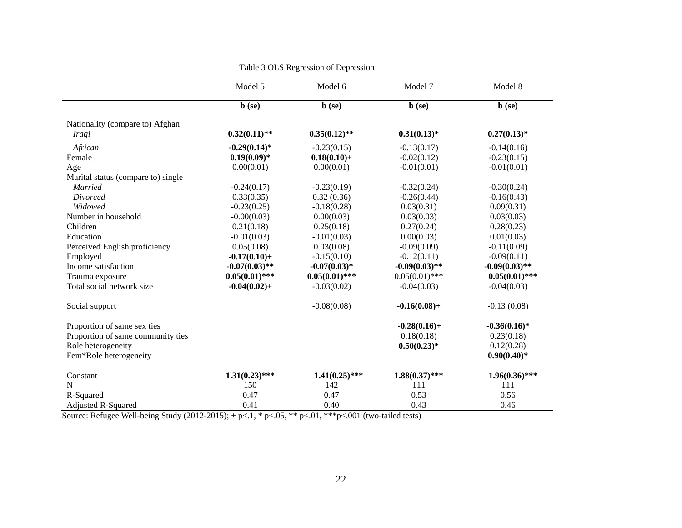| Table 3 OLS Regression of Depression |                  |                   |                  |                   |
|--------------------------------------|------------------|-------------------|------------------|-------------------|
|                                      | Model 5          | Model 6           | Model 7          | Model 8           |
|                                      | $\mathbf b$ (se) | $\mathbf{b}$ (se) | $\mathbf b$ (se) | $\mathbf{b}$ (se) |
| Nationality (compare to) Afghan      |                  |                   |                  |                   |
| <i>Iraqi</i>                         | $0.32(0.11)$ **  | $0.35(0.12)$ **   | $0.31(0.13)*$    | $0.27(0.13)*$     |
| African                              | $-0.29(0.14)$ *  | $-0.23(0.15)$     | $-0.13(0.17)$    | $-0.14(0.16)$     |
| Female                               | $0.19(0.09)*$    | $0.18(0.10) +$    | $-0.02(0.12)$    | $-0.23(0.15)$     |
| Age                                  | 0.00(0.01)       | 0.00(0.01)        | $-0.01(0.01)$    | $-0.01(0.01)$     |
| Marital status (compare to) single   |                  |                   |                  |                   |
| <b>Married</b>                       | $-0.24(0.17)$    | $-0.23(0.19)$     | $-0.32(0.24)$    | $-0.30(0.24)$     |
| Divorced                             | 0.33(0.35)       | 0.32(0.36)        | $-0.26(0.44)$    | $-0.16(0.43)$     |
| Widowed                              | $-0.23(0.25)$    | $-0.18(0.28)$     | 0.03(0.31)       | 0.09(0.31)        |
| Number in household                  | $-0.00(0.03)$    | 0.00(0.03)        | 0.03(0.03)       | 0.03(0.03)        |
| Children                             | 0.21(0.18)       | 0.25(0.18)        | 0.27(0.24)       | 0.28(0.23)        |
| Education                            | $-0.01(0.03)$    | $-0.01(0.03)$     | 0.00(0.03)       | 0.01(0.03)        |
| Perceived English proficiency        | 0.05(0.08)       | 0.03(0.08)        | $-0.09(0.09)$    | $-0.11(0.09)$     |
| Employed                             | $-0.17(0.10) +$  | $-0.15(0.10)$     | $-0.12(0.11)$    | $-0.09(0.11)$     |
| Income satisfaction                  | $-0.07(0.03)$ ** | $-0.07(0.03)*$    | $-0.09(0.03)$ ** | $-0.09(0.03)$ **  |
| Trauma exposure                      | $0.05(0.01)$ *** | $0.05(0.01)$ ***  | $0.05(0.01)$ *** | $0.05(0.01)$ ***  |
| Total social network size            | $-0.04(0.02) +$  | $-0.03(0.02)$     | $-0.04(0.03)$    | $-0.04(0.03)$     |
| Social support                       |                  | $-0.08(0.08)$     | $-0.16(0.08) +$  | $-0.13(0.08)$     |
| Proportion of same sex ties          |                  |                   | $-0.28(0.16) +$  | $-0.36(0.16)$ *   |
| Proportion of same community ties    |                  |                   | 0.18(0.18)       | 0.23(0.18)        |
| Role heterogeneity                   |                  |                   | $0.50(0.23)*$    | 0.12(0.28)        |
| Fem*Role heterogeneity               |                  |                   |                  | $0.90(0.40)*$     |
| Constant                             | $1.31(0.23)$ *** | $1.41(0.25)$ ***  | $1.88(0.37)$ *** | $1.96(0.36)$ ***  |
| N                                    | 150              | 142               | 111              | 111               |
| R-Squared                            | 0.47             | 0.47              | 0.53             | 0.56              |
| <b>Adjusted R-Squared</b>            | 0.41             | 0.40              | 0.43             | 0.46              |

Source: Refugee Well-being Study  $(2012-2015)$ ; + p<.1, \* p<.05, \*\* p<.01, \*\*\*p<.001 (two-tailed tests)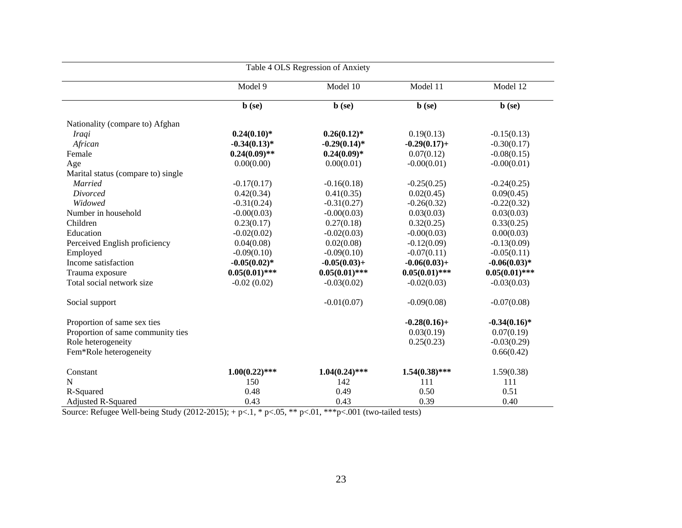| Table 4 OLS Regression of Anxiety  |                   |                  |                              |                  |
|------------------------------------|-------------------|------------------|------------------------------|------------------|
|                                    | Model 9           | Model 10         | $\overline{\text{Model}}$ 11 | Model 12         |
|                                    | $\mathbf{b}$ (se) | $\mathbf b$ (se) | $\mathbf{b}$ (se)            | $\mathbf b$ (se) |
| Nationality (compare to) Afghan    |                   |                  |                              |                  |
| Iraqi                              | $0.24(0.10)*$     | $0.26(0.12)^*$   | 0.19(0.13)                   | $-0.15(0.13)$    |
| African                            | $-0.34(0.13)*$    | $-0.29(0.14)$ *  | $-0.29(0.17) +$              | $-0.30(0.17)$    |
| Female                             | $0.24(0.09)$ **   | $0.24(0.09)*$    | 0.07(0.12)                   | $-0.08(0.15)$    |
| Age                                | 0.00(0.00)        | 0.00(0.01)       | $-0.00(0.01)$                | $-0.00(0.01)$    |
| Marital status (compare to) single |                   |                  |                              |                  |
| <b>Married</b>                     | $-0.17(0.17)$     | $-0.16(0.18)$    | $-0.25(0.25)$                | $-0.24(0.25)$    |
| Divorced                           | 0.42(0.34)        | 0.41(0.35)       | 0.02(0.45)                   | 0.09(0.45)       |
| Widowed                            | $-0.31(0.24)$     | $-0.31(0.27)$    | $-0.26(0.32)$                | $-0.22(0.32)$    |
| Number in household                | $-0.00(0.03)$     | $-0.00(0.03)$    | 0.03(0.03)                   | 0.03(0.03)       |
| Children                           | 0.23(0.17)        | 0.27(0.18)       | 0.32(0.25)                   | 0.33(0.25)       |
| Education                          | $-0.02(0.02)$     | $-0.02(0.03)$    | $-0.00(0.03)$                | 0.00(0.03)       |
| Perceived English proficiency      | 0.04(0.08)        | 0.02(0.08)       | $-0.12(0.09)$                | $-0.13(0.09)$    |
| Employed                           | $-0.09(0.10)$     | $-0.09(0.10)$    | $-0.07(0.11)$                | $-0.05(0.11)$    |
| Income satisfaction                | $-0.05(0.02)$ *   | $-0.05(0.03) +$  | $-0.06(0.03) +$              | $-0.06(0.03)*$   |
| Trauma exposure                    | $0.05(0.01)$ ***  | $0.05(0.01)$ *** | $0.05(0.01)$ ***             | $0.05(0.01)$ *** |
| Total social network size          | $-0.02(0.02)$     | $-0.03(0.02)$    | $-0.02(0.03)$                | $-0.03(0.03)$    |
| Social support                     |                   | $-0.01(0.07)$    | $-0.09(0.08)$                | $-0.07(0.08)$    |
| Proportion of same sex ties        |                   |                  | $-0.28(0.16) +$              | $-0.34(0.16)$ *  |
| Proportion of same community ties  |                   |                  | 0.03(0.19)                   | 0.07(0.19)       |
| Role heterogeneity                 |                   |                  | 0.25(0.23)                   | $-0.03(0.29)$    |
| Fem*Role heterogeneity             |                   |                  |                              | 0.66(0.42)       |
| Constant                           | $1.00(0.22)$ ***  | $1.04(0.24)$ *** | $1.54(0.38)$ ***             | 1.59(0.38)       |
| N                                  | 150               | 142              | 111                          | 111              |
| R-Squared                          | 0.48              | 0.49             | 0.50                         | 0.51             |
| Adjusted R-Squared                 | 0.43              | 0.43             | 0.39                         | 0.40             |

Source: Refugee Well-being Study (2012-2015); + p <.1, \* p <.05, \*\* p <.01, \*\*\* p <.001 (two-tailed tests)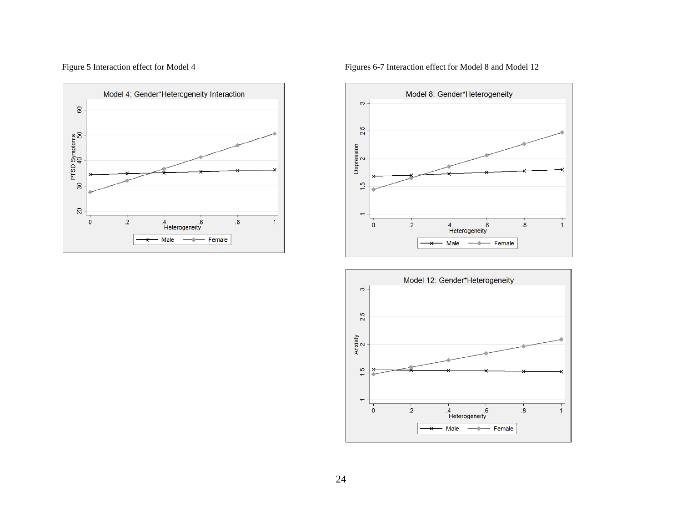

Figure 5 Interaction effect for Model 4 Figures 6-7 Interaction effect for Model 8 and Model 12



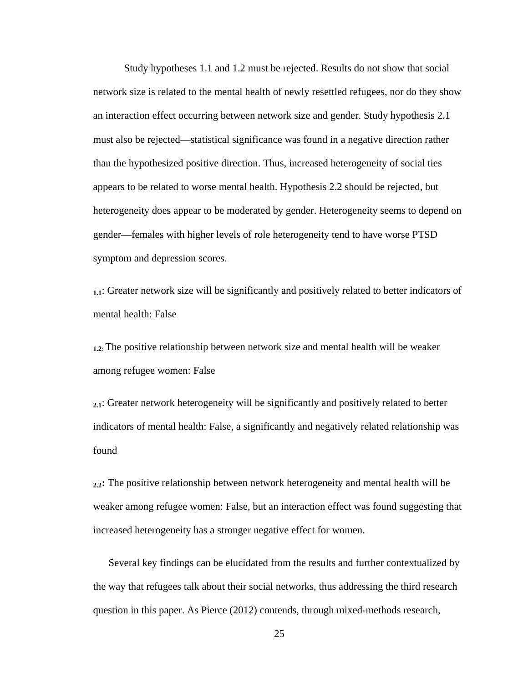Study hypotheses 1.1 and 1.2 must be rejected. Results do not show that social network size is related to the mental health of newly resettled refugees, nor do they show an interaction effect occurring between network size and gender. Study hypothesis 2.1 must also be rejected—statistical significance was found in a negative direction rather than the hypothesized positive direction. Thus, increased heterogeneity of social ties appears to be related to worse mental health. Hypothesis 2.2 should be rejected, but heterogeneity does appear to be moderated by gender. Heterogeneity seems to depend on gender—females with higher levels of role heterogeneity tend to have worse PTSD symptom and depression scores.

**1.1**: Greater network size will be significantly and positively related to better indicators of mental health: False

**1.2**: The positive relationship between network size and mental health will be weaker among refugee women: False

**2.1**: Greater network heterogeneity will be significantly and positively related to better indicators of mental health: False, a significantly and negatively related relationship was found

**2.2:** The positive relationship between network heterogeneity and mental health will be weaker among refugee women: False, but an interaction effect was found suggesting that increased heterogeneity has a stronger negative effect for women.

Several key findings can be elucidated from the results and further contextualized by the way that refugees talk about their social networks, thus addressing the third research question in this paper. As Pierce (2012) contends, through mixed-methods research,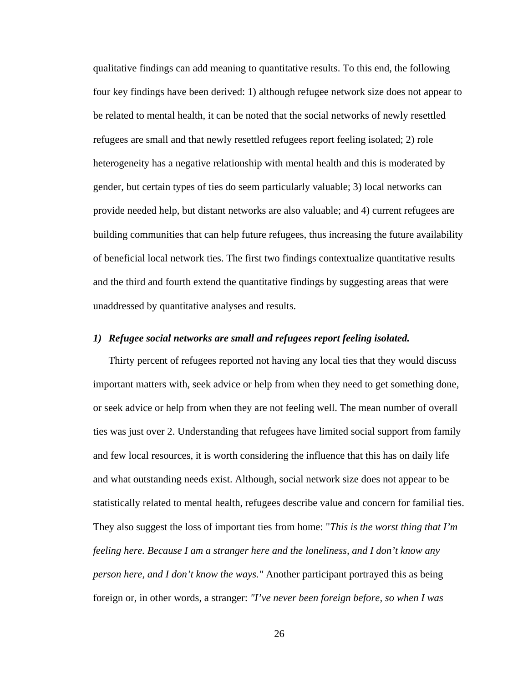qualitative findings can add meaning to quantitative results. To this end, the following four key findings have been derived: 1) although refugee network size does not appear to be related to mental health, it can be noted that the social networks of newly resettled refugees are small and that newly resettled refugees report feeling isolated; 2) role heterogeneity has a negative relationship with mental health and this is moderated by gender, but certain types of ties do seem particularly valuable; 3) local networks can provide needed help, but distant networks are also valuable; and 4) current refugees are building communities that can help future refugees, thus increasing the future availability of beneficial local network ties. The first two findings contextualize quantitative results and the third and fourth extend the quantitative findings by suggesting areas that were unaddressed by quantitative analyses and results.

#### *1) Refugee social networks are small and refugees report feeling isolated.*

Thirty percent of refugees reported not having any local ties that they would discuss important matters with, seek advice or help from when they need to get something done, or seek advice or help from when they are not feeling well. The mean number of overall ties was just over 2. Understanding that refugees have limited social support from family and few local resources, it is worth considering the influence that this has on daily life and what outstanding needs exist. Although, social network size does not appear to be statistically related to mental health, refugees describe value and concern for familial ties. They also suggest the loss of important ties from home: "*This is the worst thing that I'm feeling here. Because I am a stranger here and the loneliness, and I don't know any person here, and I don't know the ways."* Another participant portrayed this as being foreign or, in other words, a stranger: *"I've never been foreign before, so when I was*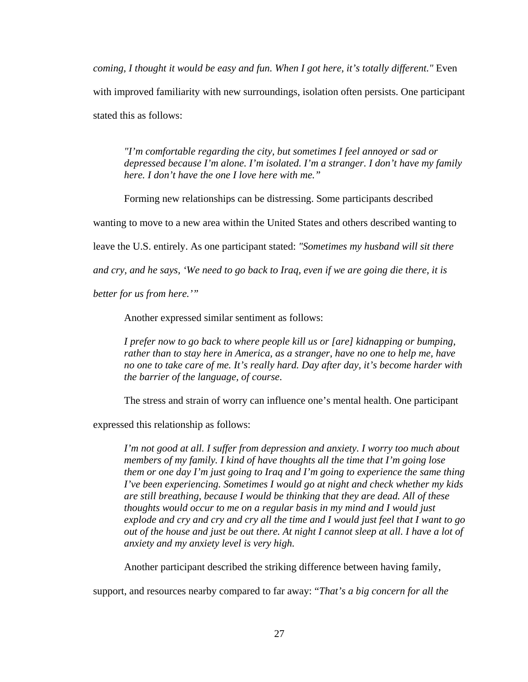*coming, I thought it would be easy and fun. When I got here, it's totally different."* Even with improved familiarity with new surroundings, isolation often persists. One participant stated this as follows:

*"I'm comfortable regarding the city, but sometimes I feel annoyed or sad or depressed because I'm alone. I'm isolated. I'm a stranger. I don't have my family here. I don't have the one I love here with me."*

Forming new relationships can be distressing. Some participants described

wanting to move to a new area within the United States and others described wanting to

leave the U.S. entirely. As one participant stated: *"Sometimes my husband will sit there* 

*and cry, and he says, 'We need to go back to Iraq, even if we are going die there, it is* 

*better for us from here.'"*

Another expressed similar sentiment as follows:

*I prefer now to go back to where people kill us or [are] kidnapping or bumping, rather than to stay here in America, as a stranger, have no one to help me, have no one to take care of me. It's really hard. Day after day, it's become harder with the barrier of the language, of course*.

The stress and strain of worry can influence one's mental health. One participant

expressed this relationship as follows:

*I'm not good at all. I suffer from depression and anxiety. I worry too much about members of my family. I kind of have thoughts all the time that I'm going lose them or one day I'm just going to Iraq and I'm going to experience the same thing I've been experiencing. Sometimes I would go at night and check whether my kids are still breathing, because I would be thinking that they are dead. All of these thoughts would occur to me on a regular basis in my mind and I would just explode and cry and cry and cry all the time and I would just feel that I want to go out of the house and just be out there. At night I cannot sleep at all. I have a lot of anxiety and my anxiety level is very high.*

Another participant described the striking difference between having family,

support, and resources nearby compared to far away: "*That's a big concern for all the*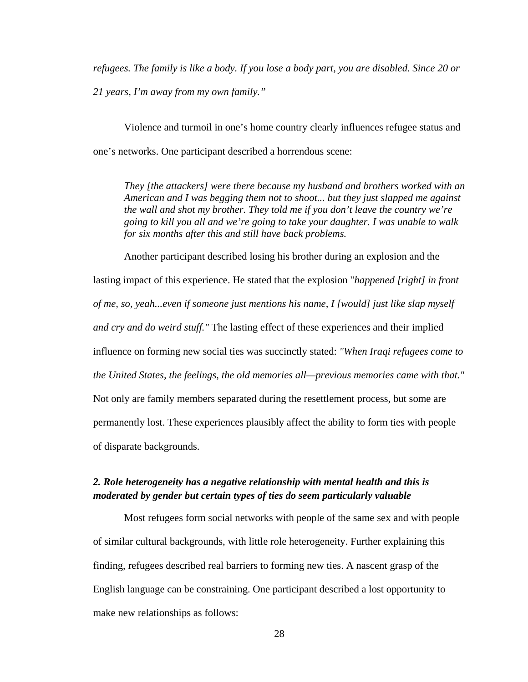*refugees. The family is like a body. If you lose a body part, you are disabled. Since 20 or 21 years, I'm away from my own family."*

Violence and turmoil in one's home country clearly influences refugee status and one's networks. One participant described a horrendous scene:

*They [the attackers] were there because my husband and brothers worked with an American and I was begging them not to shoot... but they just slapped me against the wall and shot my brother. They told me if you don't leave the country we're going to kill you all and we're going to take your daughter. I was unable to walk for six months after this and still have back problems.*

Another participant described losing his brother during an explosion and the lasting impact of this experience. He stated that the explosion "*happened [right] in front of me, so, yeah...even if someone just mentions his name, I [would] just like slap myself and cry and do weird stuff."* The lasting effect of these experiences and their implied influence on forming new social ties was succinctly stated: *"When Iraqi refugees come to the United States, the feelings, the old memories all—previous memories came with that."*  Not only are family members separated during the resettlement process, but some are permanently lost. These experiences plausibly affect the ability to form ties with people of disparate backgrounds.

## *2. Role heterogeneity has a negative relationship with mental health and this is moderated by gender but certain types of ties do seem particularly valuable*

Most refugees form social networks with people of the same sex and with people of similar cultural backgrounds, with little role heterogeneity. Further explaining this finding, refugees described real barriers to forming new ties. A nascent grasp of the English language can be constraining. One participant described a lost opportunity to make new relationships as follows: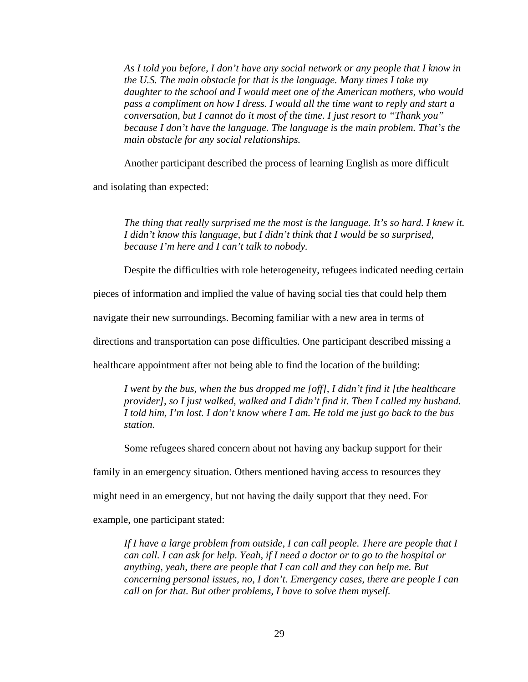*As I told you before, I don't have any social network or any people that I know in the U.S. The main obstacle for that is the language. Many times I take my daughter to the school and I would meet one of the American mothers, who would pass a compliment on how I dress. I would all the time want to reply and start a conversation, but I cannot do it most of the time. I just resort to "Thank you" because I don't have the language. The language is the main problem. That's the main obstacle for any social relationships.* 

Another participant described the process of learning English as more difficult

and isolating than expected:

*The thing that really surprised me the most is the language. It's so hard. I knew it. I didn't know this language, but I didn't think that I would be so surprised, because I'm here and I can't talk to nobody.*

Despite the difficulties with role heterogeneity, refugees indicated needing certain

pieces of information and implied the value of having social ties that could help them

navigate their new surroundings. Becoming familiar with a new area in terms of

directions and transportation can pose difficulties. One participant described missing a

healthcare appointment after not being able to find the location of the building:

*I went by the bus, when the bus dropped me [off], I didn't find it [the healthcare provider], so I just walked, walked and I didn't find it. Then I called my husband. I told him, I'm lost. I don't know where I am. He told me just go back to the bus station.*

Some refugees shared concern about not having any backup support for their

family in an emergency situation. Others mentioned having access to resources they

might need in an emergency, but not having the daily support that they need. For

example, one participant stated:

*If I have a large problem from outside, I can call people. There are people that I can call. I can ask for help. Yeah, if I need a doctor or to go to the hospital or anything, yeah, there are people that I can call and they can help me. But concerning personal issues, no, I don't. Emergency cases, there are people I can call on for that. But other problems, I have to solve them myself.*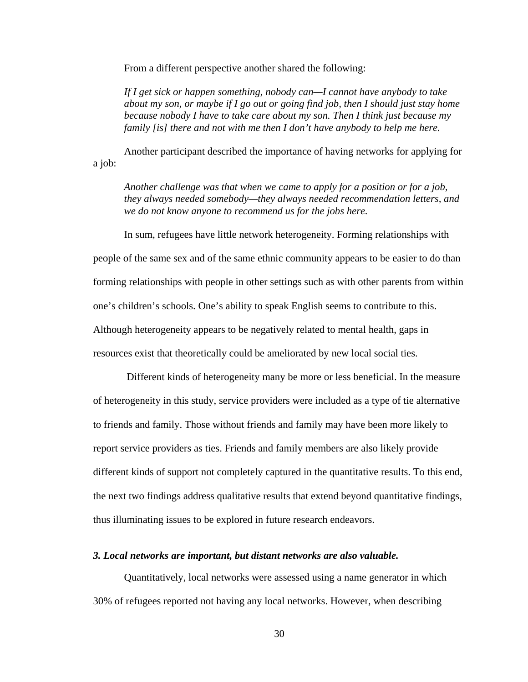From a different perspective another shared the following:

*If I get sick or happen something, nobody can—I cannot have anybody to take about my son, or maybe if I go out or going find job, then I should just stay home because nobody I have to take care about my son. Then I think just because my family [is] there and not with me then I don't have anybody to help me here.*

Another participant described the importance of having networks for applying for a job:

*Another challenge was that when we came to apply for a position or for a job, they always needed somebody—they always needed recommendation letters, and we do not know anyone to recommend us for the jobs here.*

In sum, refugees have little network heterogeneity. Forming relationships with people of the same sex and of the same ethnic community appears to be easier to do than forming relationships with people in other settings such as with other parents from within one's children's schools. One's ability to speak English seems to contribute to this. Although heterogeneity appears to be negatively related to mental health, gaps in

resources exist that theoretically could be ameliorated by new local social ties.

Different kinds of heterogeneity many be more or less beneficial. In the measure of heterogeneity in this study, service providers were included as a type of tie alternative to friends and family. Those without friends and family may have been more likely to report service providers as ties. Friends and family members are also likely provide different kinds of support not completely captured in the quantitative results. To this end, the next two findings address qualitative results that extend beyond quantitative findings, thus illuminating issues to be explored in future research endeavors.

#### *3. Local networks are important, but distant networks are also valuable.*

Quantitatively, local networks were assessed using a name generator in which 30% of refugees reported not having any local networks. However, when describing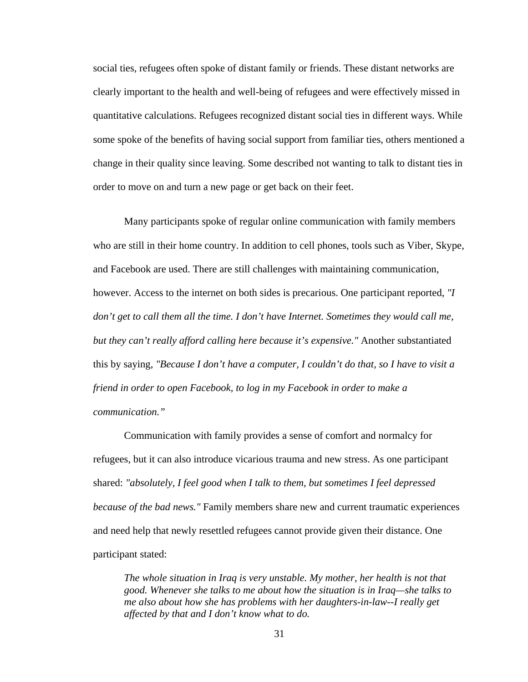social ties, refugees often spoke of distant family or friends. These distant networks are clearly important to the health and well-being of refugees and were effectively missed in quantitative calculations. Refugees recognized distant social ties in different ways. While some spoke of the benefits of having social support from familiar ties, others mentioned a change in their quality since leaving. Some described not wanting to talk to distant ties in order to move on and turn a new page or get back on their feet.

Many participants spoke of regular online communication with family members who are still in their home country. In addition to cell phones, tools such as Viber, Skype, and Facebook are used. There are still challenges with maintaining communication, however. Access to the internet on both sides is precarious. One participant reported, *"I*  don't get to call them all the time. I don't have Internet. Sometimes they would call me, *but they can't really afford calling here because it's expensive."* Another substantiated this by saying, *"Because I don't have a computer, I couldn't do that, so I have to visit a friend in order to open Facebook, to log in my Facebook in order to make a communication."*

Communication with family provides a sense of comfort and normalcy for refugees, but it can also introduce vicarious trauma and new stress. As one participant shared: *"absolutely, I feel good when I talk to them, but sometimes I feel depressed because of the bad news."* Family members share new and current traumatic experiences and need help that newly resettled refugees cannot provide given their distance. One participant stated:

*The whole situation in Iraq is very unstable. My mother, her health is not that good. Whenever she talks to me about how the situation is in Iraq—she talks to me also about how she has problems with her daughters-in-law--I really get affected by that and I don't know what to do.*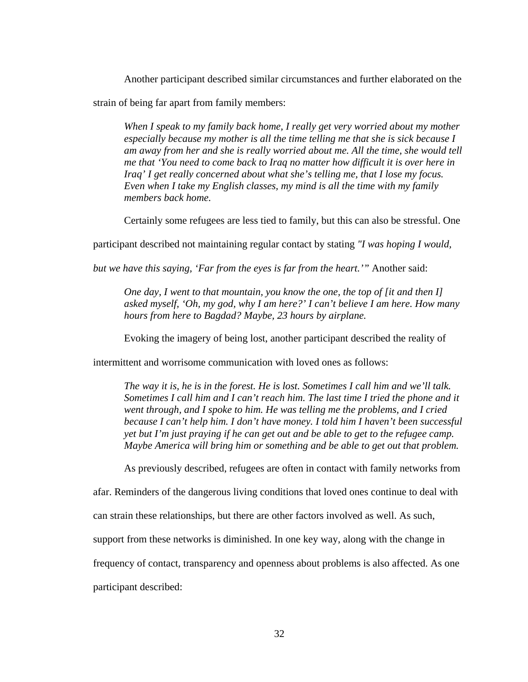Another participant described similar circumstances and further elaborated on the

strain of being far apart from family members:

*When I speak to my family back home, I really get very worried about my mother especially because my mother is all the time telling me that she is sick because I am away from her and she is really worried about me. All the time, she would tell me that 'You need to come back to Iraq no matter how difficult it is over here in Iraq' I get really concerned about what she's telling me, that I lose my focus. Even when I take my English classes, my mind is all the time with my family members back home.*

Certainly some refugees are less tied to family, but this can also be stressful. One

participant described not maintaining regular contact by stating *"I was hoping I would,* 

*but we have this saying, 'Far from the eyes is far from the heart.'"* Another said:

*One day, I went to that mountain, you know the one, the top of [it and then I] asked myself, 'Oh, my god, why I am here?' I can't believe I am here. How many hours from here to Bagdad? Maybe, 23 hours by airplane.*

Evoking the imagery of being lost, another participant described the reality of

intermittent and worrisome communication with loved ones as follows:

*The way it is, he is in the forest. He is lost. Sometimes I call him and we'll talk. Sometimes I call him and I can't reach him. The last time I tried the phone and it went through, and I spoke to him. He was telling me the problems, and I cried because I can't help him. I don't have money. I told him I haven't been successful yet but I'm just praying if he can get out and be able to get to the refugee camp. Maybe America will bring him or something and be able to get out that problem.*

As previously described, refugees are often in contact with family networks from

afar. Reminders of the dangerous living conditions that loved ones continue to deal with

can strain these relationships, but there are other factors involved as well. As such,

support from these networks is diminished. In one key way, along with the change in

frequency of contact, transparency and openness about problems is also affected. As one

participant described: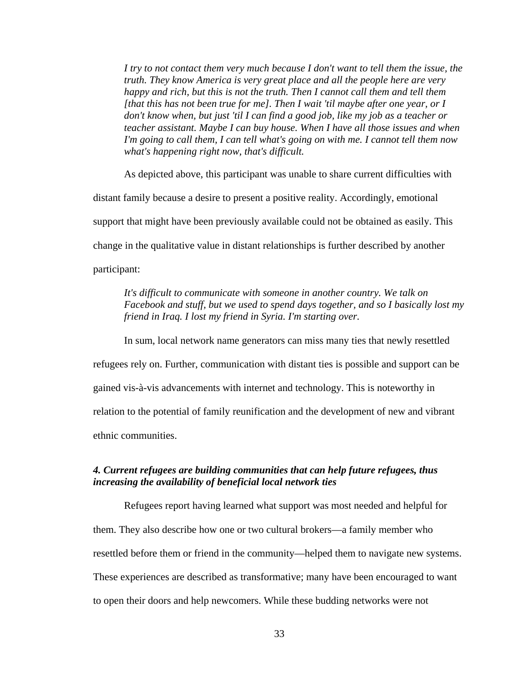*I try to not contact them very much because I don't want to tell them the issue, the truth. They know America is very great place and all the people here are very happy and rich, but this is not the truth. Then I cannot call them and tell them [that this has not been true for me]. Then I wait 'til maybe after one year, or I don't know when, but just 'til I can find a good job, like my job as a teacher or teacher assistant. Maybe I can buy house. When I have all those issues and when I'm going to call them, I can tell what's going on with me. I cannot tell them now what's happening right now, that's difficult.*

As depicted above, this participant was unable to share current difficulties with distant family because a desire to present a positive reality. Accordingly, emotional support that might have been previously available could not be obtained as easily. This change in the qualitative value in distant relationships is further described by another participant:

*It's difficult to communicate with someone in another country. We talk on Facebook and stuff, but we used to spend days together, and so I basically lost my friend in Iraq. I lost my friend in Syria. I'm starting over.*

In sum, local network name generators can miss many ties that newly resettled refugees rely on. Further, communication with distant ties is possible and support can be gained vis-à-vis advancements with internet and technology. This is noteworthy in relation to the potential of family reunification and the development of new and vibrant ethnic communities.

#### *4. Current refugees are building communities that can help future refugees, thus increasing the availability of beneficial local network ties*

Refugees report having learned what support was most needed and helpful for them. They also describe how one or two cultural brokers—a family member who resettled before them or friend in the community—helped them to navigate new systems. These experiences are described as transformative; many have been encouraged to want to open their doors and help newcomers. While these budding networks were not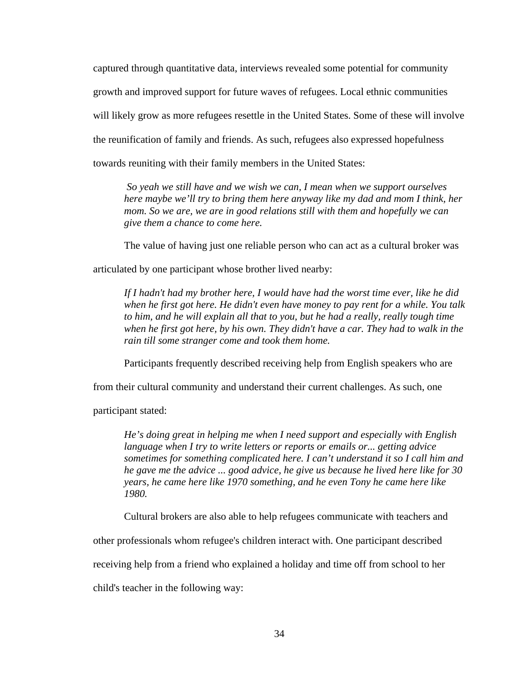captured through quantitative data, interviews revealed some potential for community growth and improved support for future waves of refugees. Local ethnic communities will likely grow as more refugees resettle in the United States. Some of these will involve the reunification of family and friends. As such, refugees also expressed hopefulness towards reuniting with their family members in the United States:

*So yeah we still have and we wish we can, I mean when we support ourselves here maybe we'll try to bring them here anyway like my dad and mom I think, her mom. So we are, we are in good relations still with them and hopefully we can give them a chance to come here.* 

The value of having just one reliable person who can act as a cultural broker was

articulated by one participant whose brother lived nearby:

*If I hadn't had my brother here, I would have had the worst time ever, like he did when he first got here. He didn't even have money to pay rent for a while. You talk to him, and he will explain all that to you, but he had a really, really tough time when he first got here, by his own. They didn't have a car. They had to walk in the rain till some stranger come and took them home.*

Participants frequently described receiving help from English speakers who are

from their cultural community and understand their current challenges. As such, one

participant stated:

*He's doing great in helping me when I need support and especially with English language when I try to write letters or reports or emails or... getting advice sometimes for something complicated here. I can't understand it so I call him and he gave me the advice ... good advice, he give us because he lived here like for 30 years, he came here like 1970 something, and he even Tony he came here like 1980.*

Cultural brokers are also able to help refugees communicate with teachers and

other professionals whom refugee's children interact with. One participant described

receiving help from a friend who explained a holiday and time off from school to her

child's teacher in the following way: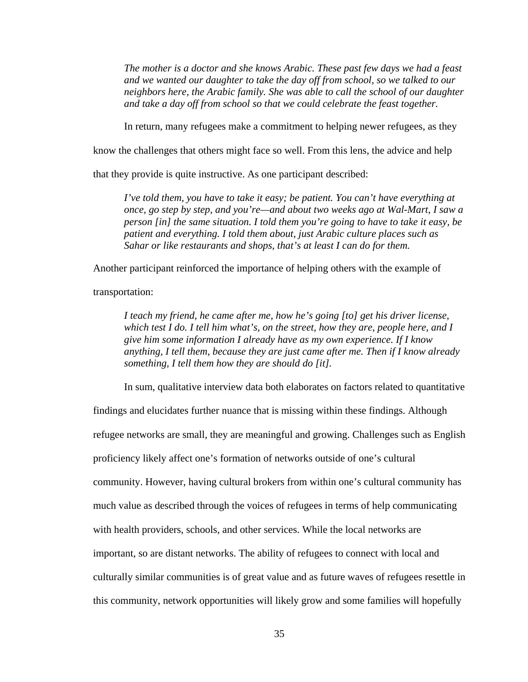*The mother is a doctor and she knows Arabic. These past few days we had a feast and we wanted our daughter to take the day off from school, so we talked to our neighbors here, the Arabic family. She was able to call the school of our daughter and take a day off from school so that we could celebrate the feast together.*

In return, many refugees make a commitment to helping newer refugees, as they

know the challenges that others might face so well. From this lens, the advice and help

that they provide is quite instructive. As one participant described:

*I've told them, you have to take it easy; be patient. You can't have everything at once, go step by step, and you're—and about two weeks ago at Wal-Mart, I saw a person [in] the same situation. I told them you're going to have to take it easy, be patient and everything. I told them about, just Arabic culture places such as Sahar or like restaurants and shops, that's at least I can do for them.*

Another participant reinforced the importance of helping others with the example of

transportation:

*I teach my friend, he came after me, how he's going [to] get his driver license, which test I do. I tell him what's, on the street, how they are, people here, and I give him some information I already have as my own experience. If I know anything, I tell them, because they are just came after me. Then if I know already something, I tell them how they are should do [it].*

In sum, qualitative interview data both elaborates on factors related to quantitative

findings and elucidates further nuance that is missing within these findings. Although refugee networks are small, they are meaningful and growing. Challenges such as English proficiency likely affect one's formation of networks outside of one's cultural community. However, having cultural brokers from within one's cultural community has much value as described through the voices of refugees in terms of help communicating with health providers, schools, and other services. While the local networks are important, so are distant networks. The ability of refugees to connect with local and culturally similar communities is of great value and as future waves of refugees resettle in this community, network opportunities will likely grow and some families will hopefully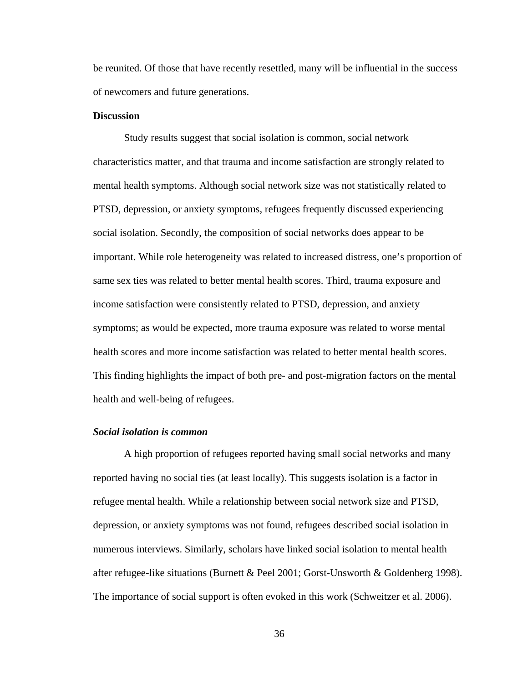be reunited. Of those that have recently resettled, many will be influential in the success of newcomers and future generations.

#### **Discussion**

Study results suggest that social isolation is common, social network characteristics matter, and that trauma and income satisfaction are strongly related to mental health symptoms. Although social network size was not statistically related to PTSD, depression, or anxiety symptoms, refugees frequently discussed experiencing social isolation. Secondly, the composition of social networks does appear to be important. While role heterogeneity was related to increased distress, one's proportion of same sex ties was related to better mental health scores. Third, trauma exposure and income satisfaction were consistently related to PTSD, depression, and anxiety symptoms; as would be expected, more trauma exposure was related to worse mental health scores and more income satisfaction was related to better mental health scores. This finding highlights the impact of both pre- and post-migration factors on the mental health and well-being of refugees.

#### *Social isolation is common*

A high proportion of refugees reported having small social networks and many reported having no social ties (at least locally). This suggests isolation is a factor in refugee mental health. While a relationship between social network size and PTSD, depression, or anxiety symptoms was not found, refugees described social isolation in numerous interviews. Similarly, scholars have linked social isolation to mental health after refugee-like situations (Burnett & Peel 2001; Gorst-Unsworth & Goldenberg 1998). The importance of social support is often evoked in this work (Schweitzer et al. 2006).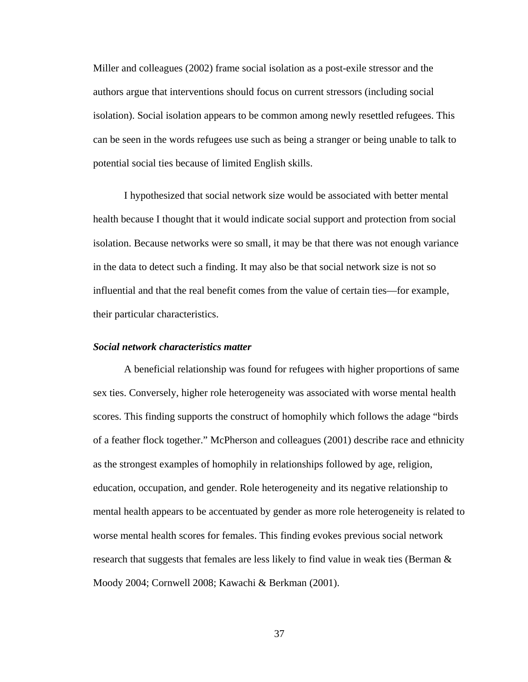Miller and colleagues (2002) frame social isolation as a post-exile stressor and the authors argue that interventions should focus on current stressors (including social isolation). Social isolation appears to be common among newly resettled refugees. This can be seen in the words refugees use such as being a stranger or being unable to talk to potential social ties because of limited English skills.

I hypothesized that social network size would be associated with better mental health because I thought that it would indicate social support and protection from social isolation. Because networks were so small, it may be that there was not enough variance in the data to detect such a finding. It may also be that social network size is not so influential and that the real benefit comes from the value of certain ties—for example, their particular characteristics.

#### *Social network characteristics matter*

A beneficial relationship was found for refugees with higher proportions of same sex ties. Conversely, higher role heterogeneity was associated with worse mental health scores. This finding supports the construct of homophily which follows the adage "birds of a feather flock together." McPherson and colleagues (2001) describe race and ethnicity as the strongest examples of homophily in relationships followed by age, religion, education, occupation, and gender. Role heterogeneity and its negative relationship to mental health appears to be accentuated by gender as more role heterogeneity is related to worse mental health scores for females. This finding evokes previous social network research that suggests that females are less likely to find value in weak ties (Berman & Moody 2004; Cornwell 2008; Kawachi & Berkman (2001).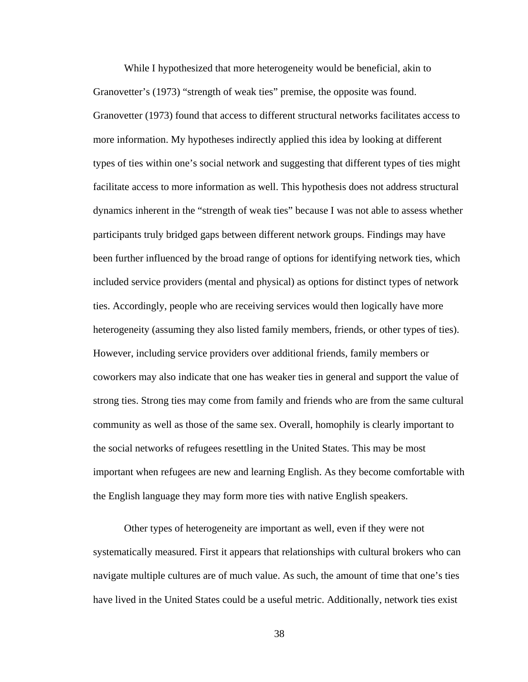While I hypothesized that more heterogeneity would be beneficial, akin to Granovetter's (1973) "strength of weak ties" premise, the opposite was found. Granovetter (1973) found that access to different structural networks facilitates access to more information. My hypotheses indirectly applied this idea by looking at different types of ties within one's social network and suggesting that different types of ties might facilitate access to more information as well. This hypothesis does not address structural dynamics inherent in the "strength of weak ties" because I was not able to assess whether participants truly bridged gaps between different network groups. Findings may have been further influenced by the broad range of options for identifying network ties, which included service providers (mental and physical) as options for distinct types of network ties. Accordingly, people who are receiving services would then logically have more heterogeneity (assuming they also listed family members, friends, or other types of ties). However, including service providers over additional friends, family members or coworkers may also indicate that one has weaker ties in general and support the value of strong ties. Strong ties may come from family and friends who are from the same cultural community as well as those of the same sex. Overall, homophily is clearly important to the social networks of refugees resettling in the United States. This may be most important when refugees are new and learning English. As they become comfortable with the English language they may form more ties with native English speakers.

Other types of heterogeneity are important as well, even if they were not systematically measured. First it appears that relationships with cultural brokers who can navigate multiple cultures are of much value. As such, the amount of time that one's ties have lived in the United States could be a useful metric. Additionally, network ties exist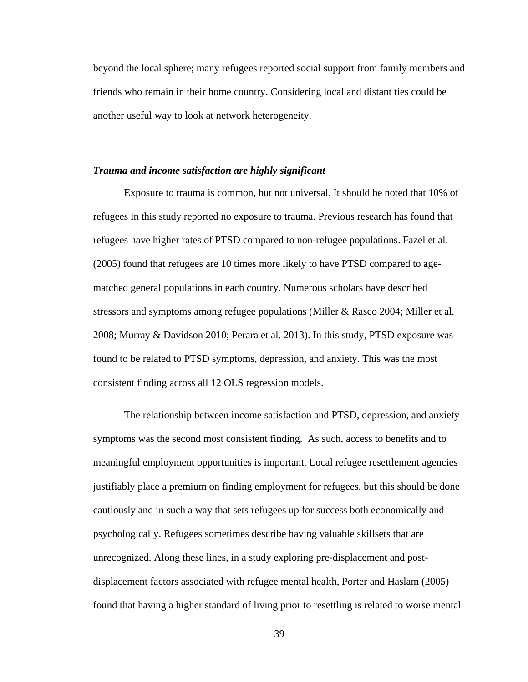beyond the local sphere; many refugees reported social support from family members and friends who remain in their home country. Considering local and distant ties could be another useful way to look at network heterogeneity.

#### *Trauma and income satisfaction are highly significant*

Exposure to trauma is common, but not universal. It should be noted that 10% of refugees in this study reported no exposure to trauma. Previous research has found that refugees have higher rates of PTSD compared to non-refugee populations. Fazel et al. (2005) found that refugees are 10 times more likely to have PTSD compared to agematched general populations in each country. Numerous scholars have described stressors and symptoms among refugee populations (Miller & Rasco 2004; Miller et al. 2008; Murray & Davidson 2010; Perara et al. 2013). In this study, PTSD exposure was found to be related to PTSD symptoms, depression, and anxiety. This was the most consistent finding across all 12 OLS regression models.

The relationship between income satisfaction and PTSD, depression, and anxiety symptoms was the second most consistent finding. As such, access to benefits and to meaningful employment opportunities is important. Local refugee resettlement agencies justifiably place a premium on finding employment for refugees, but this should be done cautiously and in such a way that sets refugees up for success both economically and psychologically. Refugees sometimes describe having valuable skillsets that are unrecognized. Along these lines, in a study exploring pre-displacement and postdisplacement factors associated with refugee mental health, Porter and Haslam (2005) found that having a higher standard of living prior to resettling is related to worse mental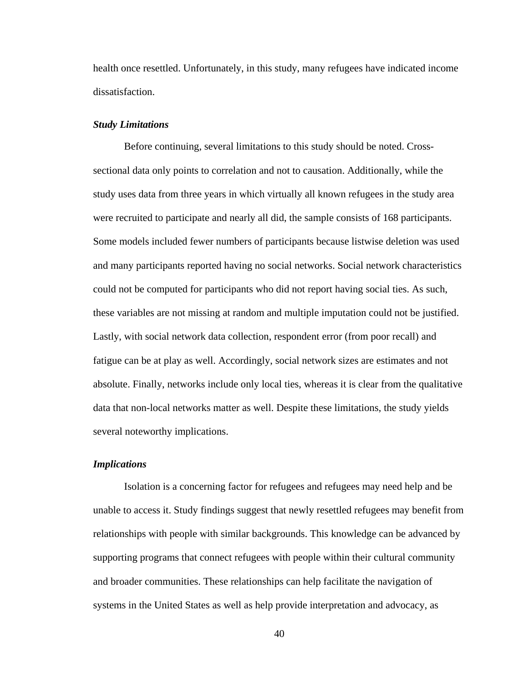health once resettled. Unfortunately, in this study, many refugees have indicated income dissatisfaction.

#### *Study Limitations*

Before continuing, several limitations to this study should be noted. Crosssectional data only points to correlation and not to causation. Additionally, while the study uses data from three years in which virtually all known refugees in the study area were recruited to participate and nearly all did, the sample consists of 168 participants. Some models included fewer numbers of participants because listwise deletion was used and many participants reported having no social networks. Social network characteristics could not be computed for participants who did not report having social ties. As such, these variables are not missing at random and multiple imputation could not be justified. Lastly, with social network data collection, respondent error (from poor recall) and fatigue can be at play as well. Accordingly, social network sizes are estimates and not absolute. Finally, networks include only local ties, whereas it is clear from the qualitative data that non-local networks matter as well. Despite these limitations, the study yields several noteworthy implications.

#### *Implications*

Isolation is a concerning factor for refugees and refugees may need help and be unable to access it. Study findings suggest that newly resettled refugees may benefit from relationships with people with similar backgrounds. This knowledge can be advanced by supporting programs that connect refugees with people within their cultural community and broader communities. These relationships can help facilitate the navigation of systems in the United States as well as help provide interpretation and advocacy, as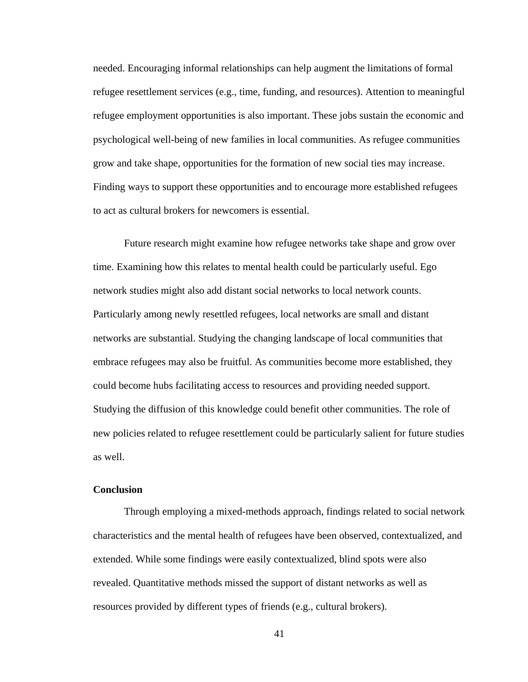needed. Encouraging informal relationships can help augment the limitations of formal refugee resettlement services (e.g., time, funding, and resources). Attention to meaningful refugee employment opportunities is also important. These jobs sustain the economic and psychological well-being of new families in local communities. As refugee communities grow and take shape, opportunities for the formation of new social ties may increase. Finding ways to support these opportunities and to encourage more established refugees to act as cultural brokers for newcomers is essential.

Future research might examine how refugee networks take shape and grow over time. Examining how this relates to mental health could be particularly useful. Ego network studies might also add distant social networks to local network counts. Particularly among newly resettled refugees, local networks are small and distant networks are substantial. Studying the changing landscape of local communities that embrace refugees may also be fruitful. As communities become more established, they could become hubs facilitating access to resources and providing needed support. Studying the diffusion of this knowledge could benefit other communities. The role of new policies related to refugee resettlement could be particularly salient for future studies as well.

#### **Conclusion**

Through employing a mixed-methods approach, findings related to social network characteristics and the mental health of refugees have been observed, contextualized, and extended. While some findings were easily contextualized, blind spots were also revealed. Quantitative methods missed the support of distant networks as well as resources provided by different types of friends (e.g., cultural brokers).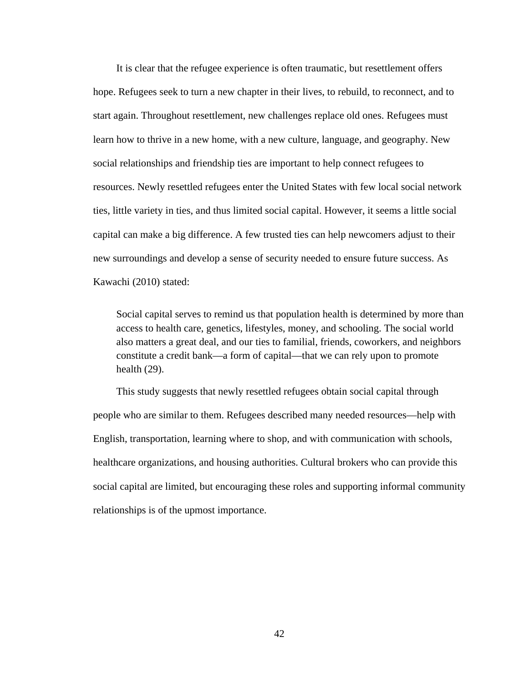It is clear that the refugee experience is often traumatic, but resettlement offers hope. Refugees seek to turn a new chapter in their lives, to rebuild, to reconnect, and to start again. Throughout resettlement, new challenges replace old ones. Refugees must learn how to thrive in a new home, with a new culture, language, and geography. New social relationships and friendship ties are important to help connect refugees to resources. Newly resettled refugees enter the United States with few local social network ties, little variety in ties, and thus limited social capital. However, it seems a little social capital can make a big difference. A few trusted ties can help newcomers adjust to their new surroundings and develop a sense of security needed to ensure future success. As Kawachi (2010) stated:

Social capital serves to remind us that population health is determined by more than access to health care, genetics, lifestyles, money, and schooling. The social world also matters a great deal, and our ties to familial, friends, coworkers, and neighbors constitute a credit bank—a form of capital—that we can rely upon to promote health (29).

This study suggests that newly resettled refugees obtain social capital through people who are similar to them. Refugees described many needed resources—help with English, transportation, learning where to shop, and with communication with schools, healthcare organizations, and housing authorities. Cultural brokers who can provide this social capital are limited, but encouraging these roles and supporting informal community relationships is of the upmost importance.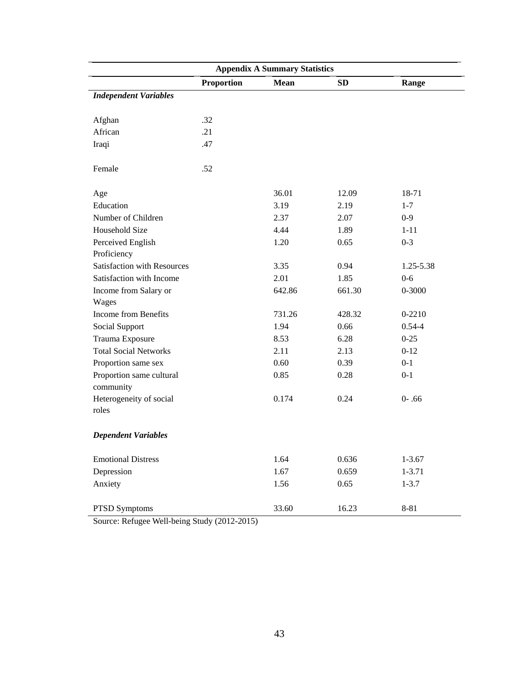|                                       |                   | <b>Appendix A Summary Statistics</b> |           |            |
|---------------------------------------|-------------------|--------------------------------------|-----------|------------|
|                                       | <b>Proportion</b> | <b>Mean</b>                          | <b>SD</b> | Range      |
| <b>Independent Variables</b>          |                   |                                      |           |            |
| Afghan                                | .32               |                                      |           |            |
| African                               | .21               |                                      |           |            |
| Iraqi                                 | .47               |                                      |           |            |
| Female                                | .52               |                                      |           |            |
| Age                                   |                   | 36.01                                | 12.09     | 18-71      |
| Education                             |                   | 3.19                                 | 2.19      | $1 - 7$    |
| Number of Children                    |                   | 2.37                                 | 2.07      | $0-9$      |
| Household Size                        |                   | 4.44                                 | 1.89      | $1 - 11$   |
| Perceived English                     |                   | 1.20                                 | 0.65      | $0 - 3$    |
| Proficiency                           |                   |                                      |           |            |
| Satisfaction with Resources           |                   | 3.35                                 | 0.94      | 1.25-5.38  |
| Satisfaction with Income              |                   | 2.01                                 | 1.85      | $0-6$      |
| Income from Salary or                 |                   | 642.86                               | 661.30    | $0 - 3000$ |
| Wages                                 |                   |                                      |           |            |
| Income from Benefits                  |                   | 731.26                               | 428.32    | $0 - 2210$ |
| Social Support                        |                   | 1.94                                 | 0.66      | $0.54 - 4$ |
| Trauma Exposure                       |                   | 8.53                                 | 6.28      | $0 - 25$   |
| <b>Total Social Networks</b>          |                   | 2.11                                 | 2.13      | $0 - 12$   |
| Proportion same sex                   |                   | 0.60                                 | 0.39      | $0 - 1$    |
| Proportion same cultural<br>community |                   | 0.85                                 | 0.28      | $0 - 1$    |
| Heterogeneity of social<br>roles      |                   | 0.174                                | 0.24      | $0 - .66$  |
| <b>Dependent Variables</b>            |                   |                                      |           |            |
| <b>Emotional Distress</b>             |                   | 1.64                                 | 0.636     | $1 - 3.67$ |
| Depression                            |                   | 1.67                                 | 0.659     | $1 - 3.71$ |
| Anxiety                               |                   | 1.56                                 | 0.65      | $1 - 3.7$  |
| PTSD Symptoms                         |                   | 33.60                                | 16.23     | 8-81       |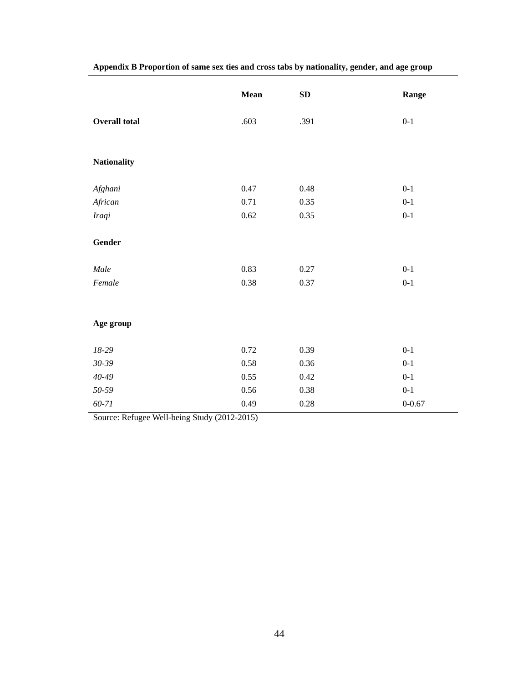|                      | <b>Mean</b> | SD       | Range      |
|----------------------|-------------|----------|------------|
| <b>Overall total</b> | .603        | .391     | $0 - 1$    |
| <b>Nationality</b>   |             |          |            |
| Afghani              | 0.47        | 0.48     | $0 - 1$    |
| African              | 0.71        | 0.35     | $0 - 1$    |
| Iraqi                | 0.62        | 0.35     | $0 - 1$    |
| Gender               |             |          |            |
| Male                 | 0.83        | 0.27     | $0-1$      |
| Female               | 0.38        | 0.37     | $0 - 1$    |
|                      |             |          |            |
| Age group            |             |          |            |
| $18-29$              | 0.72        | 0.39     | $0 - 1$    |
| 30-39                | 0.58        | 0.36     | $0 - 1$    |
| $40 - 49$            | 0.55        | $0.42\,$ | $0 - 1$    |
| 50-59                | 0.56        | 0.38     | $0 - 1$    |
| 60-71                | 0.49        | $0.28\,$ | $0 - 0.67$ |

**Appendix B Proportion of same sex ties and cross tabs by nationality, gender, and age group**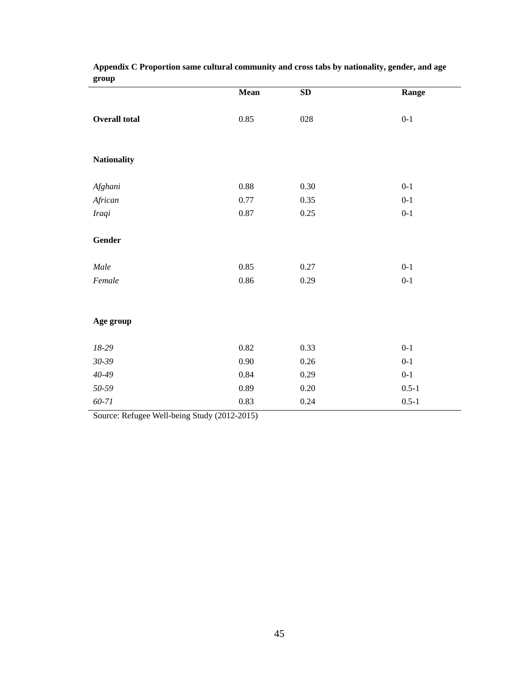|                      | Mean     | SD       | Range     |
|----------------------|----------|----------|-----------|
| <b>Overall total</b> | 0.85     | 028      | $0 - 1$   |
| <b>Nationality</b>   |          |          |           |
| Afghani              | $0.88\,$ | $0.30\,$ | $0 - 1$   |
| African              | $0.77\,$ | 0.35     | $0 - 1$   |
| Iraqi                | $0.87\,$ | 0.25     | $0 - 1$   |
| Gender               |          |          |           |
| Male                 | 0.85     | 0.27     | $0 - 1$   |
| Female               | $0.86\,$ | 0.29     | $0 - 1$   |
|                      |          |          |           |
| Age group            |          |          |           |
| $18-29$              | 0.82     | 0.33     | $0 - 1$   |
| $30 - 39$            | 0.90     | $0.26\,$ | $0 - 1$   |
| $40 - 49$            | 0.84     | 0.29     | $0 - 1$   |
| $50 - 59$            | 0.89     | $0.20\,$ | $0.5 - 1$ |
| $60 - 71$            | 0.83     | 0.24     | $0.5 - 1$ |

# **Appendix C Proportion same cultural community and cross tabs by nationality, gender, and age group**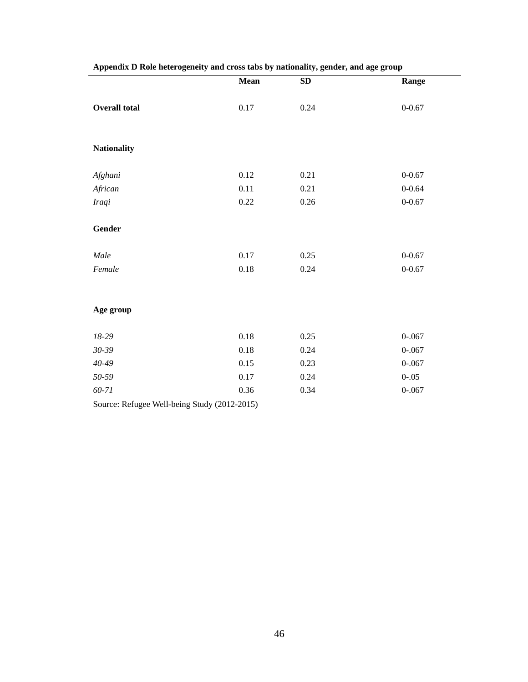| - -                  | <b>Mean</b> | $\cdot$ $\sim$<br>SD | Range      |
|----------------------|-------------|----------------------|------------|
|                      |             |                      |            |
| <b>Overall total</b> | 0.17        | 0.24                 | $0 - 0.67$ |
|                      |             |                      |            |
|                      |             |                      |            |
| <b>Nationality</b>   |             |                      |            |
|                      |             |                      |            |
| Afghani              | 0.12        | 0.21                 | $0 - 0.67$ |
| African              | 0.11        | 0.21                 | $0 - 0.64$ |
| <b>Iraqi</b>         | 0.22        | 0.26                 | $0 - 0.67$ |
|                      |             |                      |            |
| Gender               |             |                      |            |
|                      |             |                      |            |
| Male                 | 0.17        | 0.25                 | $0 - 0.67$ |
| Female               | $0.18\,$    | 0.24                 | $0 - 0.67$ |
|                      |             |                      |            |
|                      |             |                      |            |
| Age group            |             |                      |            |
|                      |             |                      |            |
| $18-29$              | $0.18\,$    | 0.25                 | $0 - 067$  |
| $30 - 39$            | $0.18\,$    | 0.24                 | $0 - 067$  |
| $40 - 49$            | 0.15        | 0.23                 | $0 - 067$  |
| 50-59                | $0.17\,$    | 0.24                 | $0 - .05$  |
| $60 - 71$            | 0.36        | 0.34                 | $0 - .067$ |

| Appendix D Role heterogeneity and cross tabs by nationality, gender, and age group |  |  |
|------------------------------------------------------------------------------------|--|--|
|                                                                                    |  |  |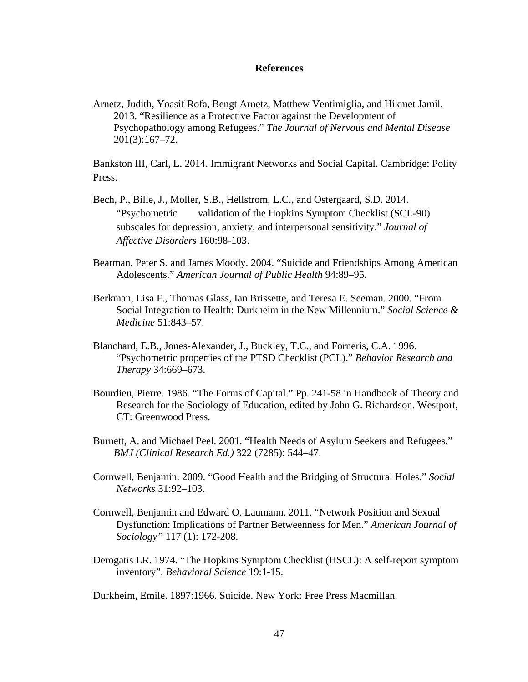#### **References**

Arnetz, Judith, Yoasif Rofa, Bengt Arnetz, Matthew Ventimiglia, and Hikmet Jamil. 2013. "Resilience as a Protective Factor against the Development of Psychopathology among Refugees." *The Journal of Nervous and Mental Disease* 201(3):167–72.

Bankston III, Carl, L. 2014. Immigrant Networks and Social Capital. Cambridge: Polity Press.

- Bech, P., Bille, J., Moller, S.B., Hellstrom, L.C., and Ostergaard, S.D. 2014. "Psychometric validation of the Hopkins Symptom Checklist (SCL-90) subscales for depression, anxiety, and interpersonal sensitivity." *Journal of Affective Disorders* 160:98-103.
- Bearman, Peter S. and James Moody. 2004. "Suicide and Friendships Among American Adolescents." *American Journal of Public Health* 94:89–95.
- Berkman, Lisa F., Thomas Glass, Ian Brissette, and Teresa E. Seeman. 2000. "From Social Integration to Health: Durkheim in the New Millennium." *Social Science & Medicine* 51:843–57.
- Blanchard, E.B., Jones-Alexander, J., Buckley, T.C., and Forneris, C.A. 1996. "Psychometric properties of the PTSD Checklist (PCL)." *Behavior Research and Therapy* 34:669–673.
- Bourdieu, Pierre. 1986. "The Forms of Capital." Pp. 241-58 in Handbook of Theory and Research for the Sociology of Education, edited by John G. Richardson. Westport, CT: Greenwood Press.
- Burnett, A. and Michael Peel. 2001. "Health Needs of Asylum Seekers and Refugees." *BMJ (Clinical Research Ed.)* 322 (7285): 544–47.
- Cornwell, Benjamin. 2009. "Good Health and the Bridging of Structural Holes." *Social Networks* 31:92–103.
- Cornwell, Benjamin and Edward O. Laumann. 2011. "Network Position and Sexual Dysfunction: Implications of Partner Betweenness for Men." *American Journal of Sociology"* 117 (1): 172-208.
- Derogatis LR. 1974. "The Hopkins Symptom Checklist (HSCL): A self-report symptom inventory". *Behavioral Science* 19:1-15.

Durkheim, Emile. 1897:1966. Suicide. New York: Free Press Macmillan.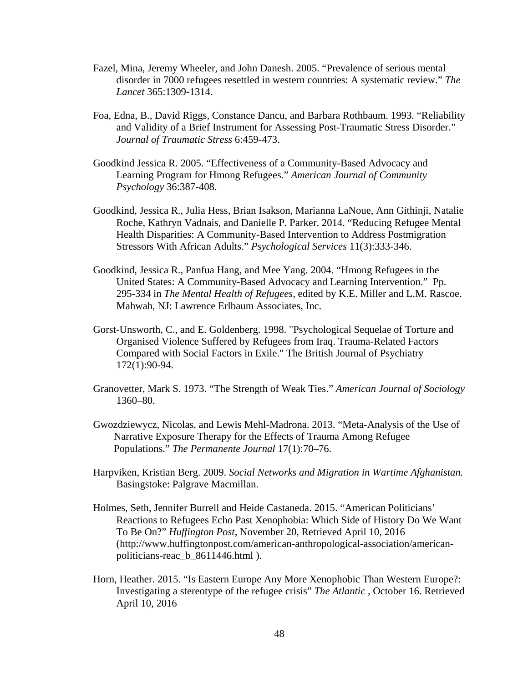- Fazel, Mina, Jeremy Wheeler, and John Danesh. 2005. "Prevalence of serious mental disorder in 7000 refugees resettled in western countries: A systematic review." *The Lancet* 365:1309-1314.
- Foa, Edna, B., David Riggs, Constance Dancu, and Barbara Rothbaum. 1993. "Reliability and Validity of a Brief Instrument for Assessing Post-Traumatic Stress Disorder." *Journal of Traumatic Stress* 6:459-473.
- Goodkind Jessica R. 2005. "Effectiveness of a Community-Based Advocacy and Learning Program for Hmong Refugees." *American Journal of Community Psychology* 36:387-408.
- Goodkind, Jessica R., Julia Hess, Brian Isakson, Marianna LaNoue, Ann Githinji, Natalie Roche, Kathryn Vadnais, and Danielle P. Parker. 2014. "Reducing Refugee Mental Health Disparities: A Community-Based Intervention to Address Postmigration Stressors With African Adults." *Psychological Services* 11(3):333-346.
- Goodkind, Jessica R., Panfua Hang, and Mee Yang. 2004. "Hmong Refugees in the United States: A Community-Based Advocacy and Learning Intervention." Pp. 295-334 in *The Mental Health of Refugees*, edited by K.E. Miller and L.M. Rascoe. Mahwah, NJ: Lawrence Erlbaum Associates, Inc.
- Gorst-Unsworth, C., and E. Goldenberg. 1998. "Psychological Sequelae of Torture and Organised Violence Suffered by Refugees from Iraq. Trauma-Related Factors Compared with Social Factors in Exile." The British Journal of Psychiatry 172(1):90-94.
- Granovetter, Mark S. 1973. "The Strength of Weak Ties." *American Journal of Sociology* 1360–80.
- Gwozdziewycz, Nicolas, and Lewis Mehl-Madrona. 2013. "Meta-Analysis of the Use of Narrative Exposure Therapy for the Effects of Trauma Among Refugee Populations." *The Permanente Journal* 17(1):70–76.
- Harpviken, Kristian Berg. 2009. *Social Networks and Migration in Wartime Afghanistan.*  Basingstoke: Palgrave Macmillan.
- Holmes, Seth, Jennifer Burrell and Heide Castaneda. 2015. "American Politicians' Reactions to Refugees Echo Past Xenophobia: Which Side of History Do We Want To Be On?" *Huffington Post*, November 20, Retrieved April 10, 2016 (http://www.huffingtonpost.com/american-anthropological-association/americanpoliticians-reac\_b\_8611446.html ).
- Horn, Heather. 2015. "Is Eastern Europe Any More Xenophobic Than Western Europe?: Investigating a stereotype of the refugee crisis" *The Atlantic* , October 16. Retrieved April 10, 2016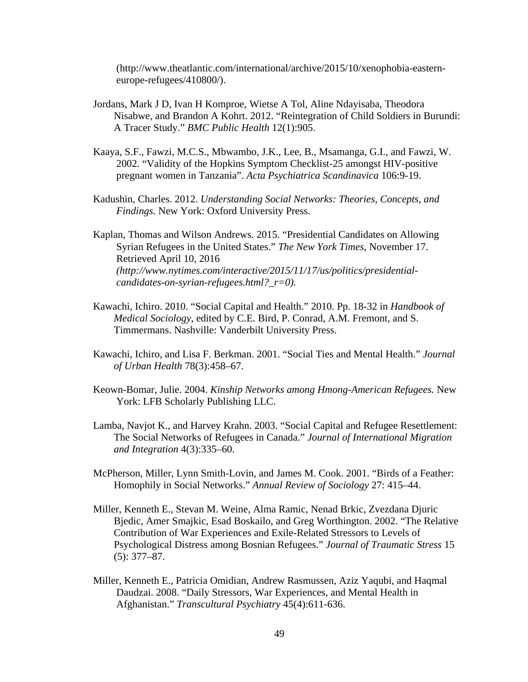(http://www.theatlantic.com/international/archive/2015/10/xenophobia-easterneurope-refugees/410800/).

- Jordans, Mark J D, Ivan H Komproe, Wietse A Tol, Aline Ndayisaba, Theodora Nisabwe, and Brandon A Kohrt. 2012. "Reintegration of Child Soldiers in Burundi: A Tracer Study." *BMC Public Health* 12(1):905.
- Kaaya, S.F., Fawzi, M.C.S., Mbwambo, J.K., Lee, B., Msamanga, G.I., and Fawzi, W. 2002. "Validity of the Hopkins Symptom Checklist-25 amongst HIV-positive pregnant women in Tanzania". *Acta Psychiatrica Scandinavica* 106:9-19.
- Kadushin, Charles. 2012. *Understanding Social Networks: Theories, Concepts, and Findings.* New York: Oxford University Press.

Kaplan, Thomas and Wilson Andrews. 2015. "Presidential Candidates on Allowing Syrian Refugees in the United States." *The New York Times*, November 17. Retrieved April 10, 2016 *(http://www.nytimes.com/interactive/2015/11/17/us/politics/presidentialcandidates-on-syrian-refugees.html?\_r=0).* 

- Kawachi, Ichiro. 2010. "Social Capital and Health." 2010. Pp. 18-32 in *Handbook of Medical Sociology*, edited by C.E. Bird, P. Conrad, A.M. Fremont, and S. Timmermans. Nashville: Vanderbilt University Press.
- Kawachi, Ichiro, and Lisa F. Berkman. 2001. "Social Ties and Mental Health." *Journal of Urban Health* 78(3):458–67.
- Keown-Bomar, Julie. 2004. *Kinship Networks among Hmong-American Refugees.* New York: LFB Scholarly Publishing LLC.
- Lamba, Navjot K., and Harvey Krahn. 2003. "Social Capital and Refugee Resettlement: The Social Networks of Refugees in Canada." *Journal of International Migration and Integration* 4(3):335–60.
- McPherson, Miller, Lynn Smith-Lovin, and James M. Cook. 2001. "Birds of a Feather: Homophily in Social Networks." *Annual Review of Sociology* 27: 415–44.
- Miller, Kenneth E., Stevan M. Weine, Alma Ramic, Nenad Brkic, Zvezdana Djuric Bjedic, Amer Smajkic, Esad Boskailo, and Greg Worthington. 2002. "The Relative Contribution of War Experiences and Exile-Related Stressors to Levels of Psychological Distress among Bosnian Refugees." *Journal of Traumatic Stress* 15 (5): 377–87.
- Miller, Kenneth E., Patricia Omidian, Andrew Rasmussen, Aziz Yaqubi, and Haqmal Daudzai. 2008. "Daily Stressors, War Experiences, and Mental Health in Afghanistan." *Transcultural Psychiatry* 45(4):611-636.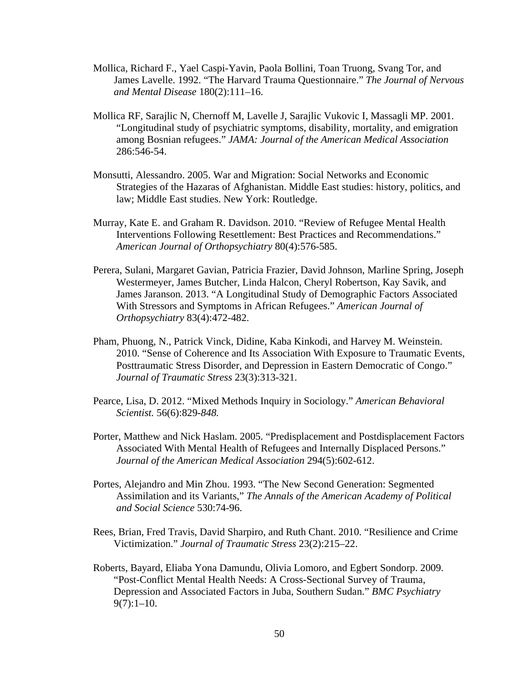- Mollica, Richard F., Yael Caspi-Yavin, Paola Bollini, Toan Truong, Svang Tor, and James Lavelle. 1992. "The Harvard Trauma Questionnaire." *The Journal of Nervous and Mental Disease* 180(2):111–16.
- Mollica RF, Sarajlic N, Chernoff M, Lavelle J, Sarajlic Vukovic I, Massagli MP. 2001. "Longitudinal study of psychiatric symptoms, disability, mortality, and emigration among Bosnian refugees." *JAMA: Journal of the American Medical Association* 286:546-54.
- Monsutti, Alessandro. 2005. War and Migration: Social Networks and Economic Strategies of the Hazaras of Afghanistan. Middle East studies: history, politics, and law; Middle East studies. New York: Routledge.
- Murray, Kate E. and Graham R. Davidson. 2010. "Review of Refugee Mental Health Interventions Following Resettlement: Best Practices and Recommendations." *American Journal of Orthopsychiatry* 80(4):576-585.
- Perera, Sulani, Margaret Gavian, Patricia Frazier, David Johnson, Marline Spring, Joseph Westermeyer, James Butcher, Linda Halcon, Cheryl Robertson, Kay Savik, and James Jaranson. 2013. "A Longitudinal Study of Demographic Factors Associated With Stressors and Symptoms in African Refugees." *American Journal of Orthopsychiatry* 83(4):472-482.
- Pham, Phuong, N., Patrick Vinck, Didine, Kaba Kinkodi, and Harvey M. Weinstein. 2010. "Sense of Coherence and Its Association With Exposure to Traumatic Events, Posttraumatic Stress Disorder, and Depression in Eastern Democratic of Congo." *Journal of Traumatic Stress* 23(3):313-321.
- Pearce, Lisa, D. 2012. "Mixed Methods Inquiry in Sociology." *American Behavioral Scientist.* 56(6):829-*848.*
- Porter, Matthew and Nick Haslam. 2005. "Predisplacement and Postdisplacement Factors Associated With Mental Health of Refugees and Internally Displaced Persons." *Journal of the American Medical Association* 294(5):602-612.
- Portes, Alejandro and Min Zhou. 1993. "The New Second Generation: Segmented Assimilation and its Variants," *The Annals of the American Academy of Political and Social Science* 530:74-96.
- Rees, Brian, Fred Travis, David Sharpiro, and Ruth Chant. 2010. "Resilience and Crime Victimization." *Journal of Traumatic Stress* 23(2):215–22.
- Roberts, Bayard, Eliaba Yona Damundu, Olivia Lomoro, and Egbert Sondorp. 2009. "Post-Conflict Mental Health Needs: A Cross-Sectional Survey of Trauma, Depression and Associated Factors in Juba, Southern Sudan." *BMC Psychiatry*  $9(7):1-10.$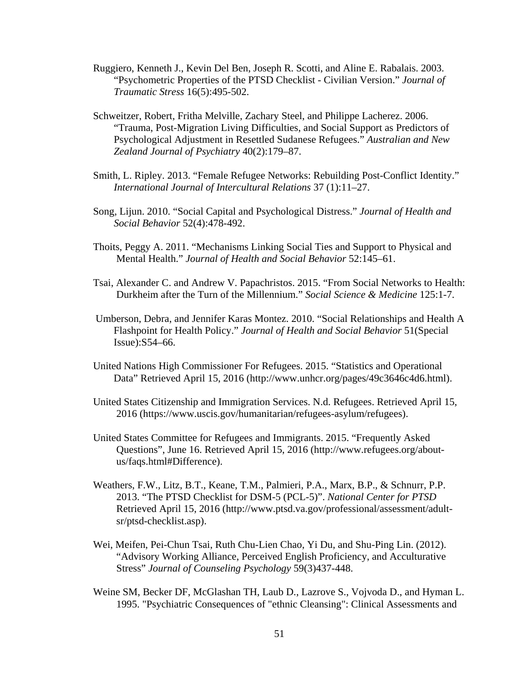- Ruggiero, Kenneth J., Kevin Del Ben, Joseph R. Scotti, and Aline E. Rabalais. 2003. "Psychometric Properties of the PTSD Checklist - Civilian Version." *Journal of Traumatic Stress* 16(5):495-502.
- Schweitzer, Robert, Fritha Melville, Zachary Steel, and Philippe Lacherez. 2006. "Trauma, Post-Migration Living Difficulties, and Social Support as Predictors of Psychological Adjustment in Resettled Sudanese Refugees." *Australian and New Zealand Journal of Psychiatry* 40(2):179–87.
- Smith, L. Ripley. 2013. "Female Refugee Networks: Rebuilding Post-Conflict Identity." *International Journal of Intercultural Relations* 37 (1):11–27.
- Song, Lijun. 2010. "Social Capital and Psychological Distress." *Journal of Health and Social Behavior* 52(4):478-492.
- Thoits, Peggy A. 2011. "Mechanisms Linking Social Ties and Support to Physical and Mental Health." *Journal of Health and Social Behavior* 52:145–61.
- Tsai, Alexander C. and Andrew V. Papachristos. 2015. "From Social Networks to Health: Durkheim after the Turn of the Millennium." *Social Science & Medicine* 125:1-7.
- Umberson, Debra, and Jennifer Karas Montez. 2010. "Social Relationships and Health A Flashpoint for Health Policy." *Journal of Health and Social Behavior* 51(Special Issue):S54–66.
- United Nations High Commissioner For Refugees. 2015. "Statistics and Operational Data" Retrieved April 15, 2016 (http://www.unhcr.org/pages/49c3646c4d6.html).
- United States Citizenship and Immigration Services. N.d. Refugees. Retrieved April 15, 2016 (https://www.uscis.gov/humanitarian/refugees-asylum/refugees).
- United States Committee for Refugees and Immigrants. 2015. "Frequently Asked Questions", June 16. Retrieved April 15, 2016 (http://www.refugees.org/aboutus/faqs.html#Difference).
- Weathers, F.W., Litz, B.T., Keane, T.M., Palmieri, P.A., Marx, B.P., & Schnurr, P.P. 2013. "The PTSD Checklist for DSM-5 (PCL-5)". *National Center for PTSD* Retrieved April 15, 2016 (http://www.ptsd.va.gov/professional/assessment/adultsr/ptsd-checklist.asp).
- Wei, Meifen, Pei-Chun Tsai, Ruth Chu-Lien Chao, Yi Du, and Shu-Ping Lin. (2012). "Advisory Working Alliance, Perceived English Proficiency, and Acculturative Stress" *Journal of Counseling Psychology* 59(3)437-448.
- Weine SM, Becker DF, McGlashan TH, Laub D., Lazrove S., Vojvoda D., and Hyman L. 1995. "Psychiatric Consequences of "ethnic Cleansing": Clinical Assessments and